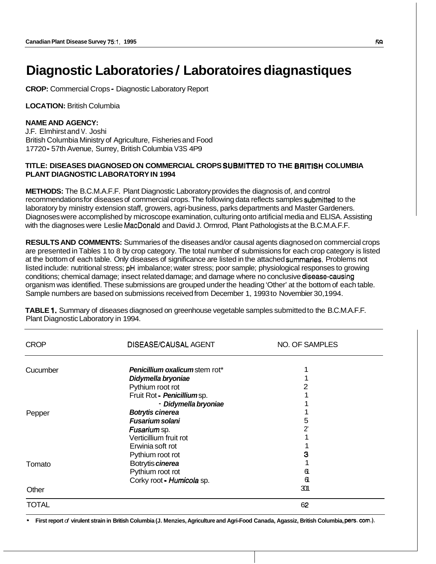# **Diagnostic Laboratories** / **Laboratoires diagnastiques**

**CROP:** Commercial Crops - Diagnostic Laboratory Report

**LOCATION:** British Columbia

### **NAME AND AGENCY:**

J.F. Elmhirst and V. Joshi British Columbia Ministry of Agriculture, Fisheries and Food 17720 - 57th Avenue, Surrey, British Columbia V3S 4P9

#### **TITLE: DISEASES DIAGNOSED ON COMMERCIAL CROPS SUBMITTED TO THE BRITISH COLUMBIA PLANT DIAGNOSTIC LABORATORY IN 1994**

**METHODS:** The B.C.M.A.F.F. Plant Diagnostic Laboratory provides the diagnosis of, and control recommendations for diseases of commercial crops. The following data reflects samples submitted to the laboratory by ministry extension staff, growers, agri-business, parks departments and Master Gardeners. Diagnoses were accomplished by microscope examination, culturing onto artificial media and ELISA. Assisting with the diagnoses were Leslie MacDonald and David J. Ormrod, Plant Pathologists at the B.C.M.A.F.F.

**RESULTS AND COMMENTS:** Summaries of the diseases and/or causal agents diagnosed on commercial crops are presented in Tables 1 to 8 by crop category. The total number of submissions for each crop category is listed at the bottom of each table. Only diseases of significance are listed in the attached summaries. Problems not listed include: nutritional stress; pH imbalance; water stress; poor sample; physiological responses to growing conditions; chemical damage; insect related damage; and damage where no conclusive disease-causing organism was identified. These submissions are grouped under the heading 'Other' at the bottom of each table. Sample numbers are based on submissions received from December 1, 1993 to Novembier 30,1994.

| <b>CROP</b>  | <b>DISEASE/CAUSAL AGENT</b>           | NO. OF SAMPLES |
|--------------|---------------------------------------|----------------|
| Cucumber     | <b>Penicillium oxalicum stem rot*</b> |                |
|              | Didymella bryoniae                    |                |
|              | Pythium root rot                      | 2              |
|              | Fruit Rot - Penicillium sp.           |                |
|              | - Didymella bryoniae                  |                |
| Pepper       | <b>Botrytis cinerea</b>               |                |
|              | <b>Fusarium solani</b>                | 5              |
|              | Fusarium sp.                          | 2'             |
|              | Verticillium fruit rot                |                |
|              | Erwinia soft rot                      |                |
|              | Pythium root rot                      | 3              |
| Tomato       | Botrytis cinerea                      |                |
|              | Pythium root rot                      | 61             |
|              | Corky root - Humicola sp.             | 61             |
| Other        |                                       | 301            |
| <b>TOTAL</b> |                                       | 62             |

**TABLE 1.** Summary of diseases diagnosed on greenhouse vegetable samples submitted to the B.C.M.A.F.F. Plant Diagnostic Laboratory in 1994.

\* **First report** *of* **virulent strain in British Columbia (J. Menzies, Agriculture and Agri-Food Canada, Agassiz, British Columbia, pers.** corn.).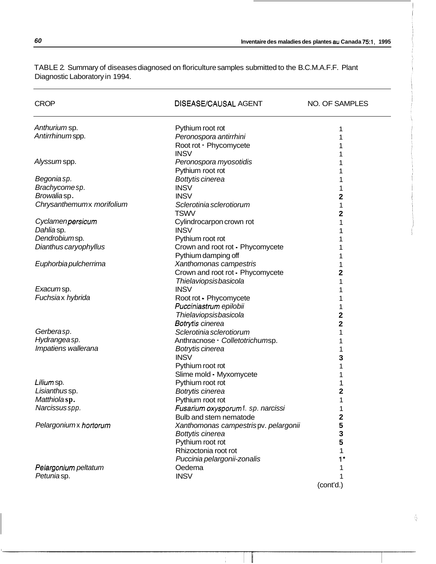| <b>CROP</b>               | <b>DISEASE/CAUSAL AGENT</b>          | NO. OF SAMPLES |
|---------------------------|--------------------------------------|----------------|
| Anthurium sp.             | Pythium root rot                     | 1              |
| Antirrhinum spp.          | Peronospora antirrhini               |                |
|                           | Root rot - Phycomycete               |                |
|                           | <b>INSV</b>                          |                |
| Alyssum spp.              | Peronospora myosotidis               |                |
|                           | Pythium root rot                     |                |
| Begonia sp.               | Bottytis cinerea                     |                |
| Brachycomesp.             | <b>INSV</b>                          |                |
| Browaliasp.               | <b>INSV</b>                          | 2              |
| Chrysanthemumx morifolium | Sclerotinia sclerotiorum             | 1              |
|                           | <b>TSWV</b>                          | 2              |
| Cyclamenpersicum          | Cylindrocarpon crown rot             |                |
| Dahlia sp.                | <b>INSV</b>                          |                |
| Dendrobiumsp.             | Pythium root rot                     |                |
| Dianthus caryophyllus     | Crown and root rot - Phycomycete     |                |
|                           | Pythium damping off                  |                |
| Euphorbia pulcherrima     | Xanthomonas campestris               |                |
|                           | Crown and root rot - Phycomycete     | 2              |
|                           | Thielaviopsisbasicola                |                |
| Exacumsp.                 | <b>INSV</b>                          |                |
| Fuchsiax hybrida          | Root rot - Phycomycete               |                |
|                           | Pucciniastrum epilobii               |                |
|                           | Thielaviopsisbasicola                | 2              |
|                           | Botrytis cinerea                     | 2              |
| Gerberasp.                | Sclerotinia sclerotiorum             | 1              |
| Hydrangea sp.             | Anthracnose - Colletotrichumsp.      |                |
| Impatiens wallerana       | Botrytis cinerea                     |                |
|                           | <b>INSV</b>                          |                |
|                           | Pythium root rot                     | з              |
|                           | Slime mold - Myxomycete              |                |
| Lilium sp.                | Pythium root rot                     |                |
| Lisianthus sp.            | Botrytis cinerea                     | 2              |
| Matthiolasp.              |                                      |                |
| Narcissus spp.            | Pythium root rot                     |                |
|                           | Fusarium oxysporum f. sp. narcissi   |                |
|                           | Bulb and stem nematode               | 2              |
| Pelargoniumx hortorum     | Xanthomonas campestrispv. pelargonii | 5              |
|                           | Bottytis cinerea                     | з              |
|                           | Pythium root rot                     | 5              |
|                           | Rhizoctonia root rot                 | 1              |
|                           | Puccinia pelargonii-zonalis          |                |
| Pelargonium peltatum      | Oedema                               |                |
| Petuniasp.                | <b>INSV</b>                          |                |
|                           |                                      | (cont'd.)      |

TABLE 2. Summary of diseases diagnosed on floriculture samples submitted to the B.C.M.A.F.F. Plant Diagnostic Laboratory in 1994.

 $\frac{\lambda}{\lambda_{\rm c}}$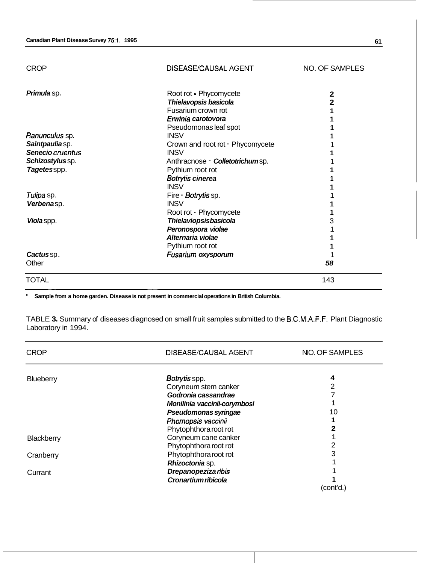CROP DISEASUCAUSAL AGENT NO. OF SAMPLES *Primula* sp . *Ranunculus* sp. *Saintpaulia* sp. *Senecio cruentus Schizostylus* sp. *Tagetes* spp. *Tulipa* sp. *Verbena* sp. *Viola* spp. *Cactus* sp . **Other** Root rot - Phycomycete *Thiela vopsis basicola*  Fusarium crown rot *Erwinia carotovora*  Pseudomonas leaf spot **INSV** Crown and root rot - Phycomycete **INSV** Anthracnose - *Colletotrichum* sp. Pythium root rot *Botryfis cinerea*  **INSV** Fire - *Sotrytiis* sp. **INSV** Root rot - Phycomycete *Thielaviopsis basicola Peronospora violae Alternaria violae*  Pythium root rot *Fusarium oxysporum*  **2 2 1 1 1 1**  1 **1**  1 **1 1 1**  1 **1 1**  3 1 **1 1**  1 *58*  TOTAL 143 ~~~ ~ ~ ~~

**Sample from a home garden. Disease is not present in commercial operations in British Columbia.** 

TABLE **3.** Summary of diseases diagnosed on small fruit samples submitted to the B.C.MI.A.F.F. Plant Diagnostic Laboratory in 1994.

| <b>CROP</b> | DISEASE/CAUSAL AGENT         | NIO. OF SAMPLES |
|-------------|------------------------------|-----------------|
|             | Botrytis spp.                | 4               |
| Blueberry   | Coryneum stem canker         | 2               |
|             | Godronia cassandrae          |                 |
|             | Monilinia vaccinii-corymbosi |                 |
|             | Pseudomonas syringae         | 10              |
|             | Phomopsis vaccinii           |                 |
|             | Phytophthora root rot        |                 |
| Blackberry  | Coryneum cane canker         |                 |
|             | Phytophthora root rot        | 2               |
| Cranberry   | Phytophthora root rot        | 3               |
|             | Rhizoctonia sp.              |                 |
| Currant     | <b>Drepanopeziza ribis</b>   |                 |
|             | Cronartium ribicola          |                 |
|             |                              | (cont'd.)       |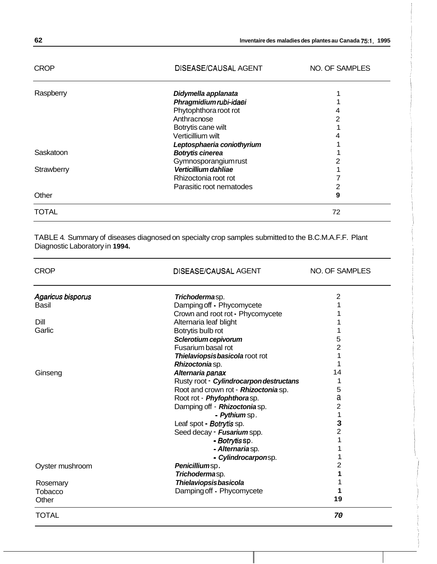| 62 | Inventaire des maladies des plantes au Canada 75:1, 1995 |
|----|----------------------------------------------------------|
|----|----------------------------------------------------------|

| <b>CROP</b> | DISEASE/CAUSAL AGENT       | NO. OF SAMPLES |
|-------------|----------------------------|----------------|
| Raspberry   | Didymella applanata        |                |
|             | Phragmidiumrubi-idaei      |                |
|             | Phytophthora root rot      | 4              |
|             | Anthracnose                | 2              |
|             | Botrytis cane wilt         |                |
|             | Verticillium wilt          |                |
|             | Leptosphaeria coniothyrium |                |
| Saskatoon   | <b>Botrytis cinerea</b>    |                |
|             | Gymnosporangiumrust        |                |
| Strawberry  | Verticillium dahliae       |                |
|             | Rhizoctonia root rot       |                |
|             | Parasitic root nematodes   | 2              |
| Other       |                            | 9              |
| TOTAL       |                            | 72             |

TABLE 4. Summary of diseases diagnosed on specialty crop samples submitted to the B.C.M.A.F.F. Plant Diagnostic Laboratory in **1994.** 

| <b>CROP</b>              | <b>DISEASE/CAUSAL AGENT</b>             | <b>NO. OF SAMPLES</b> |
|--------------------------|-----------------------------------------|-----------------------|
| <b>Agaricus bisporus</b> | Trichodermasp.                          | $\overline{2}$        |
| Basil                    | Damping off - Phycomycete               |                       |
|                          | Crown and root rot - Phycomycete        |                       |
| Dill                     | Alternaria leaf blight                  |                       |
| Garlic                   | Botrytis bulb rot                       |                       |
|                          | Sclerotium cepivorum                    | 5                     |
|                          | Fusarium basal rot                      | $\overline{2}$        |
|                          | Thielaviopsis basicola root rot         |                       |
|                          | Rhizoctonia sp.                         |                       |
| Ginseng                  | Alternaria panax                        | 14                    |
|                          | Rusty root - Cylindrocarpon destructans |                       |
|                          | Root and crown rot - Rhizoctonia sp.    | 5                     |
|                          | Root rot - Phyfophthorasp.              | а                     |
|                          | Damping off - Rhizoctonia sp.           | 2                     |
|                          | - Pythium sp.                           | 1                     |
|                          | Leaf spot - Botrytis sp.                | 3                     |
|                          | Seed decay - Fusarium spp.              | $\overline{2}$        |
|                          | - Botrytis sp.                          |                       |
|                          | - Alternariasp.                         |                       |
|                          | - Cylindrocarponsp.                     |                       |
| Oyster mushroom          | Penicilliumsp.                          | 2                     |
|                          | Trichodermasp.                          |                       |
| Rosemary                 | Thielaviopsisbasicola                   |                       |
| Tobacco                  | Damping off - Phycomycete               |                       |
| Other                    |                                         | 19                    |
| <b>TOTAL</b>             |                                         | 70                    |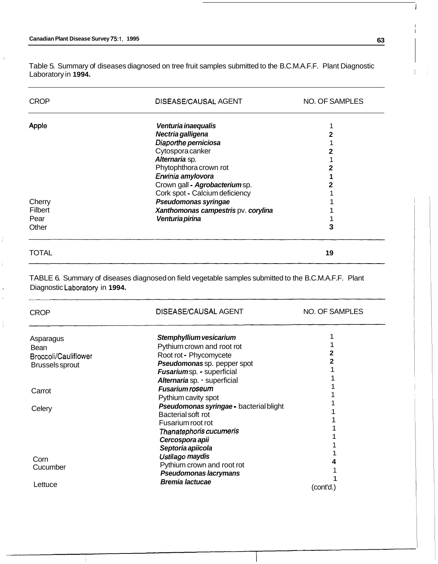I

Ì

ĵ.

 $\frac{1}{3}$ 

Table 5. Summary of diseases diagnosed on tree fruit samples submitted to the B.C.M.A.F.F. Plant Diagnostic Laboratory in **1994.** 

| <b>CROP</b>                    | DISEASE/CAUSAL AGENT                                                                                  | NO. OF SAMPLES |  |
|--------------------------------|-------------------------------------------------------------------------------------------------------|----------------|--|
| Apple                          | Venturia inaequalis                                                                                   | 1              |  |
|                                | Nectria galligena                                                                                     | 2              |  |
|                                | Diaporthe perniciosa                                                                                  | 1              |  |
|                                | Cytospora canker                                                                                      | 2              |  |
|                                | Alternaria sp.                                                                                        |                |  |
|                                | Phytophthora crown rot                                                                                | 2              |  |
|                                | Erwinia amylovora                                                                                     | 1              |  |
|                                | Crown gall - Agrobacteriumsp.                                                                         | 2              |  |
|                                | Cork spot - Calcium deficiency                                                                        |                |  |
| Cherry                         | Pseudomonas syringae                                                                                  |                |  |
| <b>Filbert</b>                 | Xanthomonas campestris pv. corylina                                                                   |                |  |
| Pear                           | Venturia pirina                                                                                       |                |  |
| Other                          |                                                                                                       | 3              |  |
| <b>TOTAL</b>                   |                                                                                                       | 19             |  |
| Diagnostic Laboratory in 1994. | TABLE 6. Summary of diseases diagnosed on field vegetable samples submitted to the B.C.M.A.F.F. Plant |                |  |
| <b>CROP</b>                    | DISEASE/CAUSAL AGENT                                                                                  | NO. OF SAMPLES |  |
|                                |                                                                                                       | 1              |  |
| Asparagus                      | Stemphyllium vesicarium                                                                               |                |  |
| <b>Bean</b>                    | Pythiurn crown and root rot                                                                           | 2              |  |
| <b>Broccoli/Cauliflower</b>    | Root rot - Phycomycete                                                                                | 2              |  |
| <b>Brussels sprout</b>         | Pseudomonas sp. pepper spot                                                                           |                |  |
|                                | Fusariumsp. - superficial                                                                             |                |  |
|                                | Alternaria sp. - superficial                                                                          |                |  |
| Carrot                         | <b>Fusarium roseum</b>                                                                                |                |  |
|                                | Pythium cavity spot                                                                                   |                |  |
| Celery                         | Pseudomonas syringae - bacterial blight                                                               |                |  |
|                                | Bacterial soft rot                                                                                    |                |  |
|                                | Fusarium root rot                                                                                     | 1              |  |
|                                | Thanatephoris cucumeris                                                                               | 1              |  |
|                                | Cercospora apii                                                                                       |                |  |
|                                | Septoria apiicola                                                                                     | 1              |  |
| Corn                           | Ustilago maydis                                                                                       |                |  |
| Cucumber                       | Pythium crown and root rot                                                                            | 1              |  |
| Lettuce                        | Pseudomonas lacrymans<br><b>Bremia lactucae</b>                                                       | 1<br>(cont'd.) |  |

 $\overline{\phantom{a}}$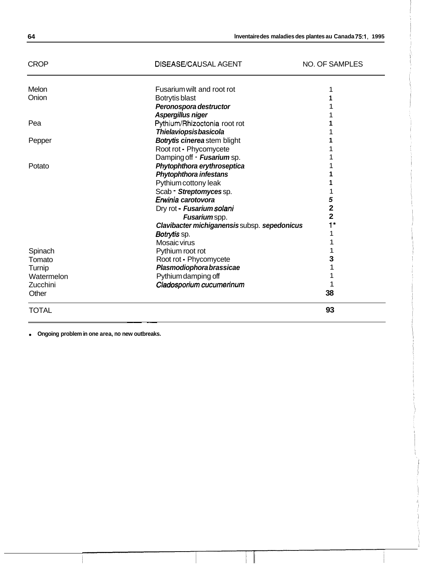| <b>TOTAL</b> |                                              | 93             |
|--------------|----------------------------------------------|----------------|
| Other        |                                              | 38             |
| Zucchini     | Cladosporium cucumerinum                     |                |
| Watermelon   | Pythium damping off                          |                |
| Turnip       | Plasmodiophora brassicae                     |                |
| Tomato       | Root rot - Phycomycete                       | з              |
| Spinach      | Pythium root rot                             |                |
|              | Mosaic virus                                 |                |
|              | Botrytis sp.                                 |                |
|              | Clavibacter michiganensis subsp. sepedonicus | $1*$           |
|              | Fusariumspp.                                 | $\overline{a}$ |
|              | Dry rot - Fusarium solani                    | 2              |
|              | Erwinia carotovora                           | 5              |
|              | Scab - Streptomyces sp.                      |                |
|              | Pythium cottony leak                         |                |
|              | Phytophthora infestans                       |                |
| Potato       | Phytophthora erythroseptica                  |                |
|              | Damping off - Fusarium sp.                   |                |
|              | Root rot - Phycomycete                       |                |
| Pepper       | <b>Botrytis cinereastem blight</b>           |                |
|              | <b>Thielaviopsisbasicola</b>                 |                |
| Pea          | Pythium/Rhizoctonia root rot                 |                |
|              | Peronospora destructor<br>Aspergillus niger  |                |
| Onion        | Botrytis blast                               |                |
| Melon        |                                              |                |

CROP DISEASE/CAUSAL AGENT NO. OF SAMPLES

**Ongoing problem in one area, no new outbreaks.** 

~~ ~~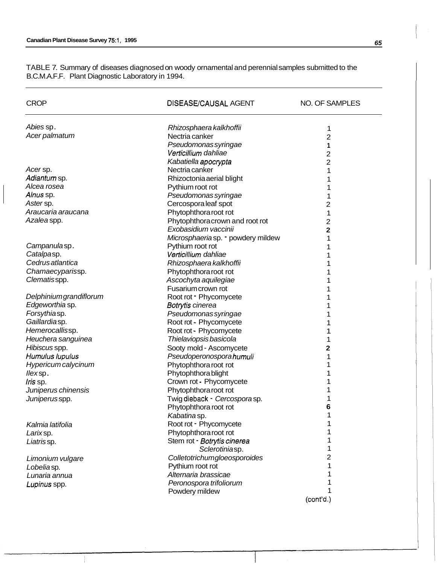TABLE 7. Summary of diseases diagnosed on woody ornamental and perennial samples submitted to the B.C.M.A.F.F. Plant Diagnostic Laboratory in 1994.

| <b>CROP</b>            | DISEASE/CAUSAL AGENT              | NO. OF SAMPLES |
|------------------------|-----------------------------------|----------------|
| Abies sp.              | Rhizosphaera kalkhoffii           | 1              |
| Acer palmatum          | Nectria canker                    | $\overline{2}$ |
|                        | Pseudomonas syringae              | 1              |
|                        | Verticillium dahliae              | $\overline{c}$ |
|                        | Kabatiella apocrypta              | $\overline{2}$ |
| Acersp.                | Nectria canker                    | 1              |
| Adiantum sp.           | Rhizoctonia aerial blight         | 1              |
| Alcea rosea            | Pythium root rot                  | 1              |
| Alnus sp.              | Pseudomonas syringae              | 1              |
| Aster sp.              | Cercospora leaf spot              | 2              |
| Araucaria araucana     | Phytophthora root rot             | 1              |
| Azalea spp.            | Phytophthoracrown and root rot    | 2              |
|                        | Exobasidium vaccinii              | 2              |
|                        | Microsphaeriasp. • powdery mildew | 1              |
| Campanulasp.           | Pythium root rot                  | 1              |
| Catalpasp.             | Verticillium dahliae              | 1              |
| Cedrus atlantica       | Rhizosphaera kalkhoffii           | 1              |
| Chamaecyparissp.       | Phytophthora root rot             | 1              |
| Clematisspp.           | Ascochyta aquilegiae              | 1              |
|                        | Fusarium crown rot                | 1              |
| Delphiniumgrandiflorum | Root rot - Phycomycete            | 1              |
| Edgeworthia sp.        | Botrytis cinerea                  | 1              |
| Forsythiasp.           | Pseudomonas syringae              | 1              |
| Gaillardiasp.          | Root rot - Phycomycete            | 1              |
| Hemerocallissp.        | Root rot - Phycomycete            | 1              |
| Heuchera sanguinea     | Thielaviopsis basicola            | 1              |
| Hibiscus spp.          | Sooty mold - Ascomycete           | $\mathbf 2$    |
| Humulus lupulus        | Pseudoperonosporahumuli           | 1              |
| Hypericum calycinum    | Phytophthora root rot             | 1              |
| llexsp.                | Phytophthora blight               | 1              |
| <i>Iris</i> sp.        | Crown rot - Phycomycete           | 1              |
| Juniperus chinensis    | Phytophthora root rot             | 1              |
| Juniperusspp.          | Twig dieback - Cercospora sp.     | 1              |
|                        | Phytophthora root rot             | 6              |
|                        | Kabatina sp.                      | 1              |
| Kalmia latifolia       | Root rot - Phycomycete            |                |
| Larixsp.               | Phytophthora root rot             |                |
| Liatrissp.             | Stem rot - Botrytis cinerea       | 1              |
|                        | Sclerotiniasp.                    | 1              |
| Limonium vulgare       | Colletotrichumgloeosporoides      | 2              |
| Lobelia sp.            | Pythium root rot                  |                |
| Lunaria annua          | Alternaria brassicae              |                |
| Lupinus spp.           | Peronospora trifoliorum           |                |
|                        | Powdery mildew                    |                |
|                        |                                   | (cont'd.)      |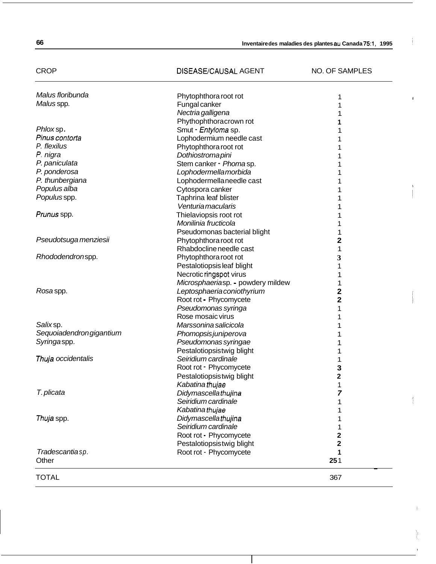# CROP DISEASE/CAUSAL AGENT NO. OF SAMPLES

 $\blacksquare$ 

I

,

| Malus floribunda         | Phytophthora root rot             |                         |  |
|--------------------------|-----------------------------------|-------------------------|--|
| Malus spp.               | Fungal canker                     |                         |  |
|                          | Nectria galligena                 | 1                       |  |
|                          | Phythophthoracrown rot            | 1                       |  |
| Phloxsp.                 | Smut - Entyloma sp.               | 1                       |  |
| Pinus contorta           | Lophodermium needle cast          | 1                       |  |
| P. flexilus              | Phytophthora root rot             |                         |  |
| P. nigra                 | Dothiostromapini                  |                         |  |
| P. paniculata            | Stem canker - Phomasp.            |                         |  |
| P. ponderosa             | Lophodermellamorbida              | 1                       |  |
| P. thunbergiana          | Lophodermellaneedle cast          | 1                       |  |
| Populus alba             | Cytospora canker                  | 1                       |  |
| Populus spp.             | Taphrina leaf blister             | 1                       |  |
|                          | Venturia macularis                | 1                       |  |
| Prunus spp.              | Thielaviopsis root rot            | 1                       |  |
|                          | Monilinia fructicola              | 1                       |  |
|                          | Pseudomonas bacterial blight      | 1                       |  |
| Pseudotsuga menziesii    | Phytophthora root rot             | 2                       |  |
|                          | Rhabdocline needle cast           | 1                       |  |
| Rhododendronspp.         | Phytophthora root rot             | 3                       |  |
|                          | Pestalotiopsis leaf blight        | 1                       |  |
|                          | Necrotic ringspot virus           | 1                       |  |
|                          | Microsphaeriasp. - powdery mildew | 1                       |  |
| Rosa spp.                | Leptosphaeria coniothyrium        | 2                       |  |
|                          | Root rot - Phycomycete            | 2                       |  |
|                          | Pseudomonas syringa               | 1                       |  |
|                          | Rose mosaic virus                 | 1                       |  |
| Salix sp.                | Marssonina salicicola             | 1                       |  |
| Sequoiadendron gigantium | Phomopsis juniperova              | 1                       |  |
| Syringaspp.              | Pseudomonas syringae              | 1                       |  |
|                          | Pestalotiopsistwig blight         | 1                       |  |
| Thuja occidentalis       | Seiridium cardinale               | 1                       |  |
|                          | Root rot - Phycomycete            | 3                       |  |
|                          | Pestalotiopsistwig blight         | 2                       |  |
|                          | Kabatinathujae                    | 1                       |  |
| T. plicata               | Didymascellathujina               | 7                       |  |
|                          | Seiridium cardinale               | 1                       |  |
|                          | Kabatina thujae                   | 1                       |  |
| Thuja spp.               | Didymascellathujina               |                         |  |
|                          | Seiridium cardinale               | 1                       |  |
|                          | Root rot - Phycomycete            | 2                       |  |
|                          | Pestalotiopsistwig blight         | $\overline{\mathbf{2}}$ |  |
| Tradescantiasp.          | Root rot - Phycomycete            | 1                       |  |
| Other                    |                                   | 251                     |  |
|                          |                                   |                         |  |
| <b>TOTAL</b>             |                                   | 367                     |  |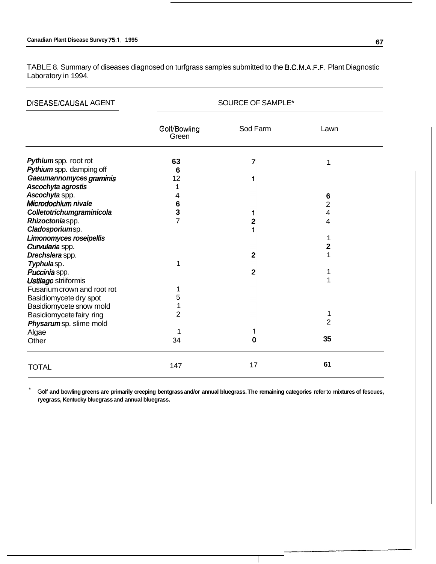TABLE 8. Summary of diseases diagnosed on turfgrass samples submitted to the B.C.M.A.F.F. Plant Diagnostic Laboratory in 1994.

| <b>DISEASE/CAUSAL AGENT</b> | SOURCE OF SAMPLE*     |                         |                         |
|-----------------------------|-----------------------|-------------------------|-------------------------|
|                             | Golf/Bowling<br>Green | Sod Farm                | Lawn                    |
| Pythium spp. root rot       | 63                    | 7                       | 1                       |
| Pythium spp. damping off    | 6                     |                         |                         |
| Gaeumannomyces graminis     | 12                    | 1                       |                         |
| Ascochyta agrostis          |                       |                         |                         |
| Ascochyta spp.              | 4                     |                         | 6                       |
| Microdochium nivale         | 6                     |                         | $\overline{2}$          |
| Colletotrichumgraminicola   | 3                     | 1                       | 4                       |
| Rhizoctoniaspp.             | $\overline{7}$        | $\overline{\mathbf{c}}$ | 4                       |
| Cladosporiumsp.             |                       | 1                       |                         |
| Limonomyces roseipellis     |                       |                         | 1                       |
| Curvularia spp.             |                       |                         | $\overline{\mathbf{c}}$ |
| Drechslera spp.             |                       | $\mathbf{2}$            |                         |
| Typhulasp.                  | 1                     |                         |                         |
| Puccinia spp.               |                       | $\overline{2}$          | 1                       |
| Ustilago striiformis        |                       |                         | 1                       |
| Fusarium crown and root rot | 1                     |                         |                         |
| Basidiomycete dry spot      | 5                     |                         |                         |
| Basidiomycete snow mold     | 1                     |                         |                         |
| Basidiomycete fairy ring    | $\overline{2}$        |                         | 1                       |
| Physarumsp. slime mold      |                       |                         | 2                       |
| Algae                       | 1                     | 1                       |                         |
| Other                       | 34                    | $\mathbf 0$             | 35                      |
| <b>TOTAL</b>                | 147                   | 17                      | 61                      |

\* Golf **and bowling greens are primarily creeping bentgrass and/or annual bluegrass. The remaining categories refer** to **mixtures of fescues, ryegrass, Kentucky bluegrass and annual bluegrass.**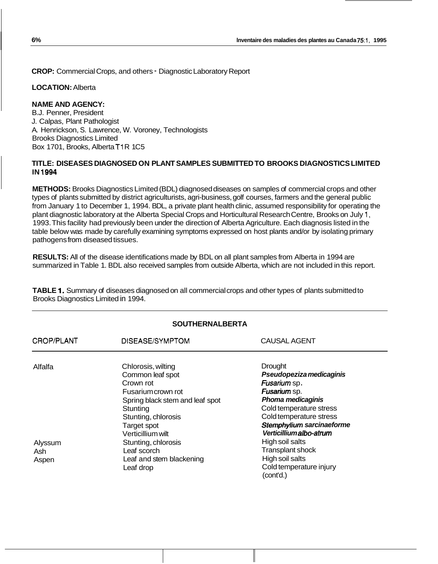**CROP:** Commercial Crops, and others - Diagnostic Laboratory Report

**LOCATION:** Alberta

### **NAME AND AGENCY:**

B.J. Penner, President J. Calpas, Plant Pathologist A. Henrickson, S. Lawrence, W. Voroney, Technologists Brooks Diagnostics Limited Box 1701, Brooks, Alberta T1R 1C5

### **TITLE: DISEASES DIAGNOSED ON PLANT SAMPLES SUBMITTED TO BROOKS DIAGNOSTICS LIMITED IN 1994**

**METHODS:** Brooks Diagnostics Limited (BDL) diagnosed diseases on samples of commercial crops and other types of plants submitted by district agriculturists, agri-business, golf courses, farmers and the general public from January 1 to December 1, 1994. BDL, a private plant health clinic, assumed responsibility for operating the plant diagnostic laboratory at the Alberta Special Crops and Horticultural Research Centre, Brooks on July 1, 1993. This facility had previously been under the direction of Alberta Agriculture. Each diagnosis listed in the table below was made by carefully examining symptoms expressed on host plants and/or by isolating primary pathogens from diseased tissues.

**RESULTS:** All of the disease identifications made by BDL on all plant samples from Alberta in 1994 are summarized in Table 1. BDL also received samples from outside Alberta, which are not included in this report.

**TABLE 1.** Summary of diseases diagnosed on all commercial crops and other types of plants submitted to Brooks Diagnostics Limited in 1994.

| <b>SOUTHERNALBERTA</b>             |                                                                                                                                                                                                                                                                    |                                                                                                                                                                                                                                                                                                                |  |
|------------------------------------|--------------------------------------------------------------------------------------------------------------------------------------------------------------------------------------------------------------------------------------------------------------------|----------------------------------------------------------------------------------------------------------------------------------------------------------------------------------------------------------------------------------------------------------------------------------------------------------------|--|
| CROP/PLANT                         | DISEASE/SYMPTOM                                                                                                                                                                                                                                                    | <b>CAUSAL AGENT</b>                                                                                                                                                                                                                                                                                            |  |
| Alfalfa<br>Alyssum<br>Ash<br>Aspen | Chlorosis, wilting<br>Common leaf spot<br>Crown rot<br>Fusarium crown rot<br>Spring black stem and leaf spot<br>Stunting<br>Stunting, chlorosis<br>Target spot<br>Verticillium wilt<br>Stunting, chlorosis<br>Leaf scorch<br>Leaf and stem blackening<br>Leaf drop | <b>Drought</b><br>Pseudopeziza medicaginis<br>Fusarium sp.<br>Fusarium sp.<br>Phoma medicaginis<br>Cold temperature stress<br>Cold temperature stress<br>Stemphylium sarcinaeforme<br>Verticilliumalbo-atrum<br>High soil salts<br>Transplant shock<br>High soil salts<br>Cold temperature injury<br>(cont'd.) |  |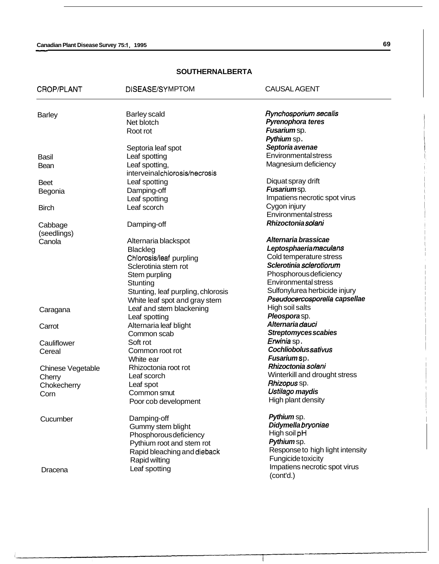| CROP/PLANT        | DISEASE/SYMPTOM                            | <b>CAUSAL AGENT</b>                        |
|-------------------|--------------------------------------------|--------------------------------------------|
| <b>Barley</b>     | <b>Barley scald</b>                        | Rynchosporium secalis                      |
|                   | Net blotch                                 | Pyrenophora teres                          |
|                   | Root rot                                   | Fusarium sp.                               |
|                   |                                            | Pythium sp.                                |
|                   | Septoria leaf spot                         | Septoria avenae                            |
| <b>Basil</b>      | Leaf spotting                              | Environmentalstress                        |
| Bean              | Leaf spotting,                             | Magnesium deficiency                       |
|                   | interveinalchlorosis/necrosis              |                                            |
| <b>Beet</b>       | Leaf spotting                              | Diquat spray drift                         |
| Begonia           | Damping-off                                | Fusariumsp.                                |
|                   | Leaf spotting                              | Impatiens necrotic spot virus              |
| <b>Birch</b>      | Leaf scorch                                | Cygon injury                               |
|                   |                                            | <b>Environmental stress</b>                |
| Cabbage           | Damping-off                                | Rhizoctoniasolani                          |
| (seedlings)       |                                            | Alternaria brassicae                       |
| Canola            | Alternaria blackspot                       | Leptosphaeriamaculans                      |
|                   | <b>Blackleg</b><br>Chlorosis/leaf purpling | Cold temperature stress                    |
|                   | Sclerotinia stem rot                       | Sclerotinia sclerotiorum                   |
|                   | Stem purpling                              | Phosphorous deficiency                     |
|                   | Stunting                                   | <b>Environmental stress</b>                |
|                   | Stunting, leaf purpling, chlorosis         | Sulfonylurea herbicide injury              |
|                   | White leaf spot and gray stem              | Pseudocercosporella capsellae              |
|                   | Leaf and stem blackening                   | High soil salts                            |
| Caragana          | Leaf spotting                              | Pleosporasp.                               |
| Carrot            | Alternaria leaf blight                     | Alternaria dauci                           |
|                   | Common scab                                | Streptomyces scabies                       |
| Cauliflower       | Soft rot                                   | Erwinia sp.                                |
| Cereal            | Common root rot                            | Cochliobolussativus                        |
|                   | White ear                                  | Fusariumsp.                                |
| Chinese Vegetable | Rhizoctonia root rot                       | Rhizoctonia solani                         |
| Cherry            | Leaf scorch                                | Winterkill and drought stress              |
| Chokecherry       | Leaf spot                                  | Rhizopus sp.                               |
| Corn              | Common smut                                | Ustilago maydis                            |
|                   | Poor cob development                       | High plant density                         |
| Cucumber          | Damping-off                                | Pythium sp.                                |
|                   | Gummy stem blight                          | Didymella bryoniae                         |
|                   | Phosphorous deficiency                     | High soil pH                               |
|                   | Pythium root and stem rot                  | Pythium sp.                                |
|                   | Rapid bleaching and dieback                | Response to high light intensity           |
|                   | Rapid wilting                              | Fungicide toxicity                         |
| Dracena           | Leaf spotting                              | Impatiens necrotic spot virus<br>(cont'd.) |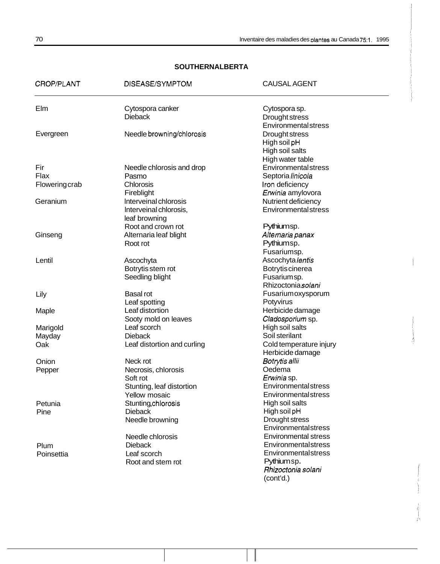| CROP/PLANT            | DISEASE/SYMPTOM             | <b>CAUSAL AGENT</b>         |
|-----------------------|-----------------------------|-----------------------------|
| Elm                   | Cytospora canker            | Cytospora sp.               |
|                       | <b>Dieback</b>              | Drought stress              |
|                       |                             | Environmentalstress         |
| Evergreen             | Needle browning/chlorosis   | Drought stress              |
|                       |                             | High soil pH                |
|                       |                             | High soil salts             |
|                       |                             | High water table            |
| Fir                   | Needle chlorosis and drop   | Environmentalstress         |
| Flax                  | Pasmo                       | Septoria linicola           |
| <b>Flowering crab</b> | Chlorosis                   | Iron deficiency             |
|                       | Fireblight                  | Erwinia amylovora           |
| Geranium              | Interveinal chlorosis       | Nutrient deficiency         |
|                       | Interveinal chlorosis,      | <b>Environmental stress</b> |
|                       | leaf browning               |                             |
|                       | Root and crown rot          | Pythiumsp.                  |
| Ginseng               | Alternaria leaf blight      | Alternaria panax            |
|                       | Root rot                    | Pythiumsp.                  |
|                       |                             | Fusariumsp.                 |
| Lentil                | Ascochyta                   | Ascochyta lentis            |
|                       | Botrytis stem rot           | Botrytis cinerea            |
|                       | Seedling blight             | Fusariumsp.                 |
|                       |                             | Rhizoctonia solani          |
| Lily                  | <b>Basal rot</b>            | Fusariumoxysporum           |
|                       | Leaf spotting               | Potyvirus                   |
| Maple                 | Leaf distortion             | Herbicide damage            |
|                       | Sooty mold on leaves        | Cladosporium sp.            |
| Marigold              | Leaf scorch                 | High soil salts             |
| Mayday                | <b>Dieback</b>              | Soil sterilant              |
| Oak                   | Leaf distortion and curling | Cold temperature injury     |
|                       |                             | Herbicide damage            |
| Onion                 | Neck rot                    | Botrytis allii              |
| Pepper                | Necrosis, chlorosis         | Oedema                      |
|                       | Soft rot                    | Erwinia sp.                 |
|                       | Stunting, leaf distortion   | <b>Environmental stress</b> |
|                       | <b>Yellow mosaic</b>        | <b>Environmental stress</b> |
| Petunia               | Stunting, chlorosis         | High soil salts             |
| Pine                  | <b>Dieback</b>              | High soil pH                |
|                       | Needle browning             | Drought stress              |
|                       |                             | Environmentalstress         |
|                       | Needle chlorosis            | <b>Environmental stress</b> |
| Plum                  | <b>Dieback</b>              | Environmentalstress         |
| Poinsettia            | Leaf scorch                 | Environmentalstress         |
|                       | Root and stem rot           | Pythiumsp.                  |
|                       |                             | Rhizoctonia solani          |
|                       |                             | (cont'd.)                   |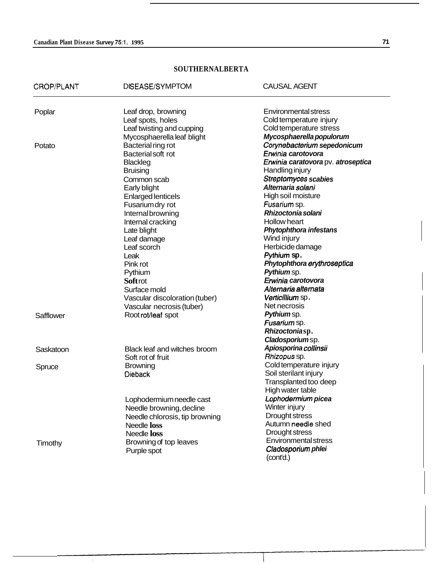| CROP/PLANT | DISEASE/SYMPTOM                | <b>CAUSAL AGENT</b>                |
|------------|--------------------------------|------------------------------------|
| Poplar     | Leaf drop, browning            | <b>Environmental stress</b>        |
|            | Leaf spots, holes              | Cold temperature injury            |
|            | Leaf twisting and cupping      | Cold temperature stress            |
|            | Mycosphaerella leaf blight     | Mycosphaerella populorum           |
| Potato     | Bacterial ring rot             | Corynebacterium sepedonicum        |
|            | Bacterial soft rot             | Erwinia carotovora                 |
|            | <b>Blackleg</b>                | Erwinia caratovora pv. atroseptica |
|            | <b>Bruising</b>                | <b>Handling injury</b>             |
|            | Common scab                    | <b>Streptomyces scabies</b>        |
|            | Early blight                   | Alternaria solani                  |
|            | <b>Enlarged lenticels</b>      | High soil moisture                 |
|            | Fusarium dry rot               | Fusarium sp.                       |
|            | Internalbrowning               | Rhizoctonia solani                 |
|            | Internal cracking              | <b>Hollow heart</b>                |
|            | Late blight                    | <b>Phytophthora infestans</b>      |
|            | Leaf damage                    | Wind injury                        |
|            | Leaf scorch                    | Herbicide damage                   |
|            | Leak                           | Pythium sp.                        |
|            | Pink rot                       | Phytophthora erythroseptica        |
|            | Pythium                        | Pythium sp.                        |
|            | <b>Soft rot</b>                | Erwinia carotovora                 |
|            | Surface mold                   | Alternaria alternata               |
|            | Vascular discoloration (tuber) | Verticillium sp.                   |
|            | Vascular necrosis (tuber)      | Net necrosis                       |
| Safflower  | Root rot/leaf spot             | Pythium sp.                        |
|            |                                | Fusarium sp.                       |
|            |                                | Rhizoctoniasp.                     |
|            |                                | Cladosporiumsp.                    |
| Saskatoon  | Black leaf and witches broom   | Apiosporina collinsii              |
|            | Soft rot of fruit              | Rhizopus sp.                       |
| Spruce     | <b>Browning</b>                | Cold temperature injury            |
|            | <b>Dieback</b>                 | Soil sterilant injury              |
|            |                                | Transplanted too deep              |
|            |                                | High water table                   |
|            | Lophodermium needle cast       | Lophodermium picea                 |
|            | Needle browning, decline       | Winter injury                      |
|            | Needle chlorosis, tip browning | Drought stress                     |
|            | Needle loss                    | Autumn needle shed                 |
|            | Needle loss                    | Drought stress                     |
| Timothy    | Browning of top leaves         | Environmental stress               |
|            | Purple spot                    | Cladosporium phlei<br>(cont'd.)    |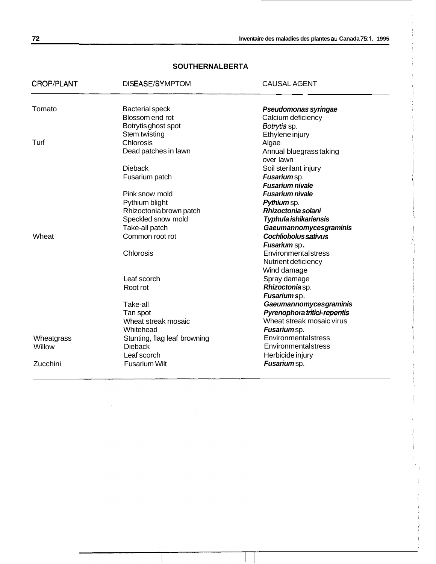**72 lnventaire des maladies des plantes au Canada 75:1, 1995** 

| CROP/PLANT | DISEASE/SYMPTOM              | <b>CAUSAL AGENT</b>                  |
|------------|------------------------------|--------------------------------------|
| Tomato     | <b>Bacterial speck</b>       | Pseudomonas syringae                 |
|            | Blossom end rot              | Calcium deficiency                   |
|            | Botrytis ghost spot          | Botrytis sp.                         |
|            | Stem twisting                | Ethylene injury                      |
| Turf       | Chlorosis                    | Algae                                |
|            | Dead patches in lawn         | Annual bluegrass taking<br>over lawn |
|            | <b>Dieback</b>               | Soil sterilant injury                |
|            | Fusarium patch               | Fusariumsp.                          |
|            |                              | <b>Fusarium nivale</b>               |
|            | Pink snow mold               | <b>Fusarium nivale</b>               |
|            | Pythium blight               | Pythium sp.                          |
|            | Rhizoctonia brown patch      | Rhizoctonia solani                   |
|            | Speckled snow mold           | Typhula ishikariensis                |
|            | Take-all patch               | <b>Gaeumannomycesgraminis</b>        |
| Wheat      | Common root rot              | <b>Cochliobolus sativus</b>          |
|            |                              | <b>Fusarium</b> sp.                  |
|            | Chlorosis                    | Environmentalstress                  |
|            |                              | Nutrient deficiency                  |
|            |                              | Wind damage                          |
|            | Leaf scorch                  | Spray damage                         |
|            | Root rot                     | Rhizoctoniasp.                       |
|            |                              | Fusarium sp.                         |
|            | Take-all                     | <b>Gaeumannomycesgraminis</b>        |
|            | Tan spot                     | Pyrenophora tritici-repentis         |
|            | Wheat streak mosaic          | Wheat streak mosaic virus            |
|            | Whitehead                    | Fusariumsp.                          |
| Wheatgrass | Stunting, flag leaf browning | Environmentalstress                  |
| Willow     | <b>Dieback</b>               | Environmentalstress                  |
|            | Leaf scorch                  | Herbicide injury                     |
| Zucchini   | <b>Fusarium Wilt</b>         | Fusariumsp.                          |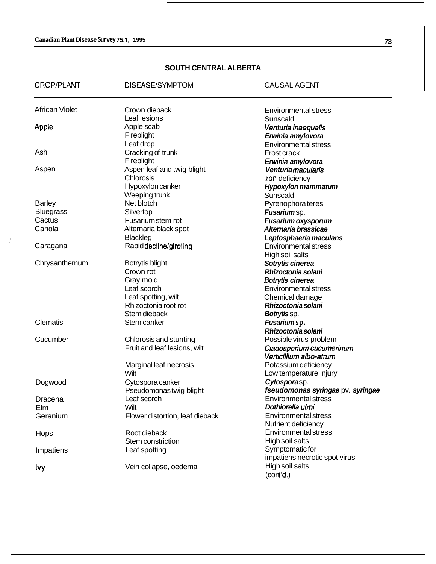$\frac{d}{dt}$ 

# **SOUTH CENTRAL ALBERTA**

| CROP/PLANT            | DISEASE/SYMPTOM                 | <b>CAUSAL AGENT</b>               |
|-----------------------|---------------------------------|-----------------------------------|
| <b>African Violet</b> | Crown dieback                   | <b>Environmental stress</b>       |
|                       | Leaf lesions                    | Sunscald                          |
| Apple                 | Apple scab                      | Venturia inaequalis               |
|                       | Fireblight                      | Erwinia amylovora                 |
|                       | Leaf drop                       | <b>Environmental stress</b>       |
| Ash                   | Cracking of trunk               | Frost crack                       |
|                       | Fireblight                      | Erwinia amylovora                 |
| Aspen                 | Aspen leaf and twig blight      | <b>Venturiamacularis</b>          |
|                       | Chlorosis                       | Iron deficiency                   |
|                       | Hypoxylon canker                | <b>Hypoxylon mammatum</b>         |
|                       | Weeping trunk                   | Sunscald                          |
| <b>Barley</b>         | Net blotch                      | Pyrenophora teres                 |
| <b>Bluegrass</b>      | Silvertop                       | Fusariumsp.                       |
| Cactus                | Fusarium stem rot               | <b>Fusarium oxysporum</b>         |
| Canola                | Alternaria black spot           | Alternaria brassicae              |
|                       | <b>Blackleg</b>                 | Leptosphaeria maculans            |
| Caragana              | Rapid decline/girdling          | <b>Environmental stress</b>       |
|                       |                                 | High soil salts                   |
| Chrysanthemum         | Botrytis blight                 | Sotrytis cinerea                  |
|                       | Crown rot                       | Rhizoctonia solani                |
|                       | Gray mold                       | Botrytis cinerea                  |
|                       | Leaf scorch                     | <b>Environmental stress</b>       |
|                       | Leaf spotting, wilt             | Chemical damage                   |
|                       | Rhizoctonia root rot            | Rhizoctonia solani                |
|                       | Stem dieback                    | Botrytis sp.                      |
| Clematis              | Stem canker                     | Fusariumsp.                       |
|                       |                                 | Rhizoctonia solani                |
| Cucumber              | Chlorosis and stunting          | Possible virus problem            |
|                       | Fruit and leaf lesions, wilt    | Cladosporium cucumerinum          |
|                       |                                 | Verticillium albo-atrum           |
|                       | Marginal leaf necrosis          | Potassium deficiency              |
|                       | Wilt                            | Low temperature injury            |
| Dogwood               | Cytospora canker                | Cytosporasp.                      |
|                       | Pseudomonas twig blight         | fseudomonas syringae pv. syringae |
| Dracena               | Leaf scorch                     | Environmental stress              |
| Elm                   | Wilt                            | Dothiorella ulmi                  |
| Geranium              | Flower distortion, leaf dieback | <b>Environmental stress</b>       |
|                       |                                 | Nutrient deficiency               |
| Hops                  | Root dieback                    | <b>Environmental stress</b>       |
|                       | Stem constriction               | High soil salts                   |
| Impatiens             | Leaf spotting                   | Symptomatic for                   |
|                       |                                 | impatiens necrotic spot virus     |
| lvy                   | Vein collapse, oedema           | High soil salts                   |
|                       |                                 | (cont'd.)                         |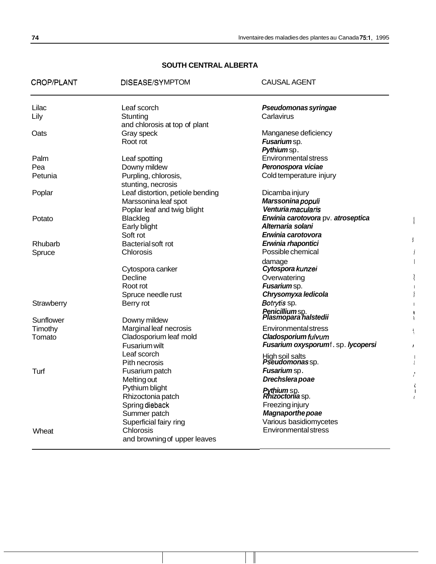# **SOUTH CENTRAL ALBERTA**

| <b>CROP/PLANT</b> | DISEASE/SYMPTOM                     | <b>CAUSAL AGENT</b>                                 |               |
|-------------------|-------------------------------------|-----------------------------------------------------|---------------|
| Lilac             | Leaf scorch                         | Pseudomonas syringae                                |               |
| Lily              | Stunting                            | Carlavirus                                          |               |
|                   | and chlorosis at top of plant       |                                                     |               |
| Oats              | Gray speck<br>Root rot              | Manganese deficiency<br>Fusarium sp.                |               |
|                   |                                     | Pythiumsp.                                          |               |
| Palm              | Leaf spotting                       | <b>Environmental stress</b>                         |               |
| Pea               | Downy mildew                        | Peronospora viciae                                  |               |
| Petunia           | Purpling, chlorosis,                | Cold temperature injury                             |               |
|                   | stunting, necrosis                  |                                                     |               |
| Poplar            | Leaf distortion, petiole bending    | Dicamba injury                                      |               |
|                   | Marssonina leaf spot                | Marssonina populi                                   |               |
|                   | Poplar leaf and twig blight         | Venturia macularis                                  |               |
| Potato            | Blackleg                            | Erwinia carotovora pv. atroseptica                  |               |
|                   | Early blight                        | Alternaria solani                                   |               |
|                   | Soft rot                            | Erwinia carotovora                                  | ţ.            |
| Rhubarb           | Bacterial soft rot                  | Erwinia rhapontici<br>Possible chemical             |               |
| Spruce            | Chlorosis                           |                                                     |               |
|                   | Cytospora canker                    | damage<br>Cytospora kunzei                          |               |
|                   | Decline                             | Overwatering                                        |               |
|                   | Root rot                            | Fusarium sp.                                        |               |
|                   | Spruce needle rust                  | Chrysomyxa ledicola                                 |               |
| Strawberry        | Berry rot                           | Botrytis sp.                                        |               |
|                   |                                     | <b>Penicilliumsp.<br/>Plasmopara halstedii</b>      | ¥             |
| Sunflower         | Downy mildew                        |                                                     | $\mathbf{I}$  |
| Timothy           | Marginal leaf necrosis              | <b>Environmental stress</b>                         | $\frac{1}{3}$ |
| Tomato            | Cladosporium leaf mold              | Cladosporiumfulvum                                  |               |
|                   | Fusarium wilt                       | Fusarium oxysporumf.sp. lycopersi                   | Ł             |
|                   | Leaf scorch                         | High soil salts<br>Pseudomonassp.                   |               |
|                   | Pith necrosis                       |                                                     | ŧ             |
| Turf              | Fusarium patch                      | Fusarium sp.                                        | $\prime$      |
|                   | Melting out                         | Drechslera poae                                     |               |
|                   | Pythium blight<br>Rhizoctonia patch | <b>Pythium</b> sp.<br><b><i>Rhizoctonia</i> sp.</b> |               |
|                   | Spring dieback                      | Freezing injury                                     |               |
|                   | Summer patch                        | <b>Magnaporthe poae</b>                             |               |
|                   | Superficial fairy ring              | Various basidiomycetes                              |               |
| Wheat             | Chlorosis                           | Environmental stress                                |               |
|                   | and browning of upper leaves        |                                                     |               |
|                   |                                     |                                                     |               |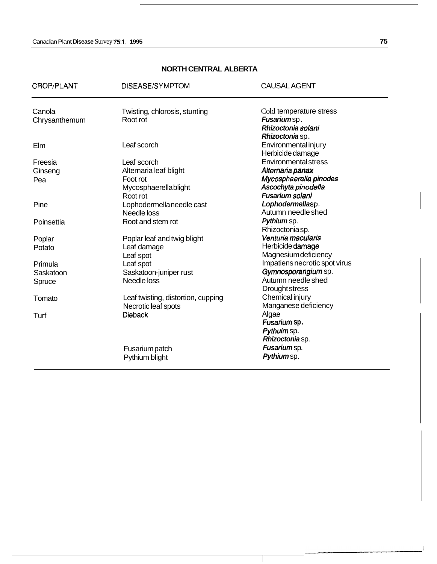# **NORTH CENTRAL ALBERTA**

| CROP/PLANT    | DISEASE/SYMPTOM                    | <b>CAUSAL AGENT</b>           |
|---------------|------------------------------------|-------------------------------|
| Canola        | Twisting, chlorosis, stunting      | Cold temperature stress       |
| Chrysanthemum | Root rot                           | Fusariumsp.                   |
|               |                                    | Rhizoctonia solani            |
|               |                                    | Rhizoctonia sp.               |
| Elm           | Leaf scorch                        | <b>Environmental injury</b>   |
|               |                                    | Herbicide damage              |
| Freesia       | Leaf scorch                        | <b>Environmental stress</b>   |
| Ginseng       | Alternaria leaf blight             | Alternaria panax              |
| Pea           | Foot rot                           | Mycosphaerella pinodes        |
|               | Mycosphaerellablight               | Ascochyta pinodella           |
|               | Root rot                           | Fusarium solani               |
| Pine          | Lophodermella needle cast          | Lophodermellasp.              |
|               | Needle loss                        | Autumn needle shed            |
| Poinsettia    | Root and stem rot                  | Pythium sp.                   |
|               |                                    | Rhizoctoniasp.                |
| Poplar        | Poplar leaf and twig blight        | Venturia macularis            |
| Potato        | Leaf damage                        | Herbicide damage              |
|               | Leaf spot                          | <b>Magnesium deficiency</b>   |
| Primula       | Leaf spot                          | Impatiens necrotic spot virus |
| Saskatoon     | Saskatoon-juniper rust             | Gymnosporangium sp.           |
| Spruce        | Needle loss                        | Autumn needle shed            |
|               |                                    | Drought stress                |
| Tomato        | Leaf twisting, distortion, cupping | Chemical injury               |
|               | Necrotic leaf spots                | Manganese deficiency          |
| Turf          | <b>Dieback</b>                     | Algae                         |
|               |                                    | Fusarium sp.                  |
|               |                                    | Pythuim sp.                   |
|               |                                    | Rhizoctonia sp.               |
|               | <b>Fusarium patch</b>              | <b>Fusarium</b> sp.           |
|               | Pythium blight                     | Pythiumsp.                    |
|               |                                    |                               |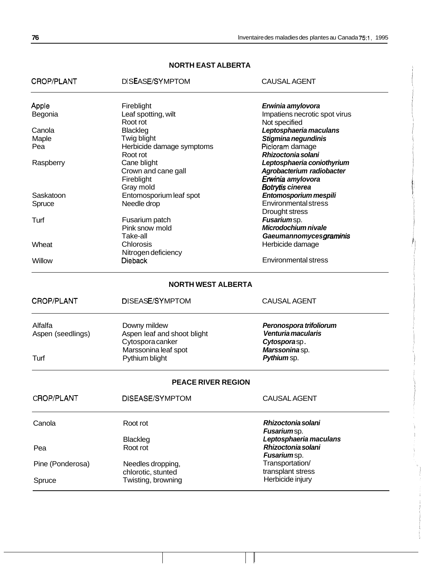# **NORTH EAST ALBERTA**

| CROP/PLANT        | DISEASE/SYMPTOM             | <b>CAUSAL AGENT</b>           |
|-------------------|-----------------------------|-------------------------------|
| Apple             | Fireblight                  | Erwinia amylovora             |
| Begonia           | Leaf spotting, wilt         | Impatiens necrotic spot virus |
|                   | Root rot                    | Not specified                 |
| Canola            | <b>Blackleg</b>             | Leptosphaeria maculans        |
| Maple             | Twig blight                 | Stigmina negundinis           |
| Pea               | Herbicide damage symptoms   | Picloram damage               |
|                   | Root rot                    | Rhizoctonia solani            |
| Raspberry         | Cane blight                 | Leptosphaeria coniothyrium    |
|                   | Crown and cane gall         | Agrobacterium radiobacter     |
|                   | Fireblight                  | Erwinia amylovora             |
|                   | Gray mold                   | <b>Botrytis cinerea</b>       |
| Saskatoon         | Entomosporium leaf spot     | Entomosporium mespili         |
| Spruce            | Needle drop                 | <b>Environmental stress</b>   |
|                   |                             | Drought stress                |
| Turf              | Fusarium patch              | Fusariumsp.                   |
|                   | Pink snow mold              | Microdochium nivale           |
|                   | Take-all                    | Gaeumannomycesgraminis        |
| Wheat             | Chlorosis                   | Herbicide damage              |
|                   | Nitrogen deficiency         |                               |
| Willow            | <b>Dieback</b>              | Environmental stress          |
|                   | <b>NORTH WEST ALBERTA</b>   |                               |
| CROP/PLANT        | DISEASE/SYMPTOM             | <b>CAUSAL AGENT</b>           |
| Alfalfa           | Downy mildew                | Peronospora trifoliorum       |
| Aspen (seedlings) | Aspen leaf and shoot blight | Venturia macularis            |
|                   | Cytospora canker            | Cytosporasp.                  |
|                   | Marssonina leaf spot        | Marssoninasp.                 |
| Turf              | Pythium blight              | Pythium sp.                   |
|                   | <b>PEACE RIVER REGION</b>   |                               |
| <b>CROP/PLANT</b> | DISEASE/SYMPTOM             | <b>CAUSAL AGENT</b>           |
|                   |                             |                               |
| Canola            | Root rot                    | Rhizoctonia solani            |
|                   |                             | Fusariumsp.                   |
|                   | <b>Blackleg</b>             | Leptosphaeria maculans        |
| Pea               | Root rot                    | Rhizoctonia solani            |
|                   |                             | Fusariumsp.                   |
| Pine (Ponderosa)  | Needles dropping,           | Transportation/               |
|                   | chlorotic, stunted          | transplant stress             |
| Spruce            | Twisting, browning          | Herbicide injury              |
|                   |                             |                               |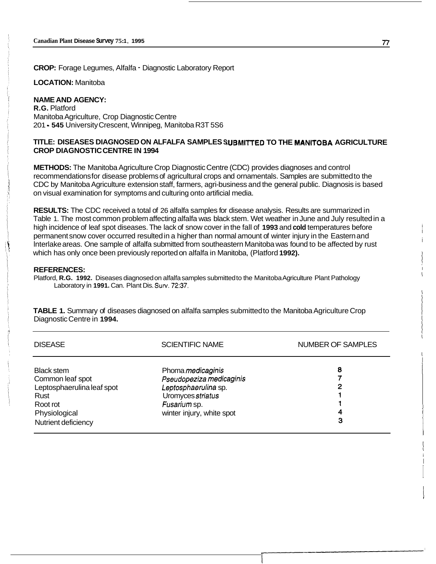**CROP:** Forage Legumes, Alfalfa - Diagnostic Laboratory Report

**LOCATION:** Manitoba

#### **NAME AND AGENCY:**

**R.G.** Platford Manitoba Agriculture, Crop Diagnostic Centre 201 - **545** University Crescent, Winnipeg, Manitoba R3T 5S6

#### TITLE: DISEASES DIAGNOSED ON ALFALFA SAMPLES SUBMITTED TO THE MANITOBA AGRICULTURE **CROP DIAGNOSTIC CENTRE IN 1994**

**METHODS:** The Manitoba Agriculture Crop Diagnostic Centre (CDC) provides diagnoses and control recommendations for disease problems of agricultural crops and ornamentals. Samples are submitted to the CDC by Manitoba Agriculture extension staff, farmers, agri-business and the general public. Diagnosis is based on visual examination for symptoms and culturing onto artificial media.

**RESULTS:** The CDC received a total of 26 alfalfa samples for disease analysis. Results are summarized in Table 1. The most common problem affecting alfalfa was black stem. Wet weather in June and July resulted in a high incidence of leaf spot diseases. The lack of snow cover in the fall of **1993** and **cold** temperatures before permanent snow cover occurred resulted in a higher than normal amount of winter injury in the Eastern and lnterlake areas. One sample of alfalfa submitted from southeastern Manitoba was found to be affected by rust which has only once been previously reported on alfalfa in Manitoba, (Platford **1992).** 

#### **REFERENCES:**

Platford, **R.G. 1992.** Diseases diagnosed on alfalfa samples submitted to the Manitoba Agriculture Plant Pathology Laboratory in **1991.** Can. Plant Dis. **Sutv. 72:37.** 

**TABLE 1.** Summary of diseases diagnosed on alfalfa samples submitted to the Manitoba Agriculture Crop Diagnostic Centre in **1994.** 

| <b>DISEASE</b>                                                                                                                  | <b>SCIENTIFIC NAME</b>                                                                                                                         | <b>NUMBER OF SAMPLES</b> |
|---------------------------------------------------------------------------------------------------------------------------------|------------------------------------------------------------------------------------------------------------------------------------------------|--------------------------|
| <b>Black stem</b><br>Common leaf spot<br>Leptosphaerulina leaf spot<br>Rust<br>Root rot<br>Physiological<br>Nutrient deficiency | Phoma <i>medicaginis</i><br>Pseudopeziza medicaginis<br>Leptosphaerulina sp.<br>Uromyces striatus<br>Fusarium sp.<br>winter injury, white spot | 8<br>2<br>4<br>3         |

i i i

i I I

I I I I I I

I I

I

 $\mathbf I$ I

> I I i

I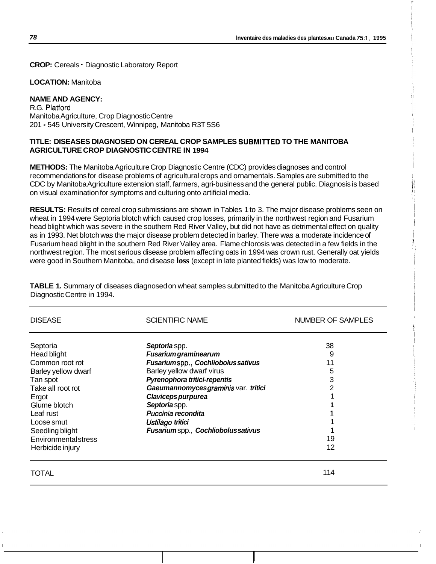**CROP:** Cereals - Diagnostic Laboratory Report

**LOCATION:** Manitoba

# **NAME AND AGENCY:**

R.G. Platford Manitoba Agriculture, Crop Diagnostic Centre 201 - 545 University Crescent, Winnipeg, Manitoba R3T 5S6

#### **TITLE: DISEASES DIAGNOSED ON CEREAL CROP SAMPLES SUBMllTED TO THE MANITOBA AGRICULTURE CROP DIAGNOSTIC CENTRE IN 1994**

**METHODS:** The Manitoba Agriculture Crop Diagnostic Centre (CDC) provides diagnoses and control recommendations for disease problems of agricultural crops and ornamentals. Samples are submitted to the CDC by Manitoba Agriculture extension staff, farmers, agri-business and the general public. Diagnosis is based on visual examination for symptoms and culturing onto artificial media.

**RESULTS:** Results of cereal crop submissions are shown in Tables 1 to 3. The major disease problems seen on wheat in 1994 were Septoria blotch which caused crop losses, primarily in the northwest region and Fusarium head blight which was severe in the southern Red River Valley, but did not have as detrimental effect on quality as in 1993. Net blotch was the major disease problem detected in barley. There was a moderate incidence of Fusarium head blight in the southern Red River Valley area. Flame chlorosis was detected in a few fields in the northwest region. The most serious disease problem affecting oats in 1994 was crown rust. Generally oat yields were good in Southern Manitoba, and disease **loss** (except in late planted fields) was low to moderate.

**TABLE 1.** Summary of diseases diagnosed on wheat samples submitted to the Manitoba Agriculture Crop Diagnostic Centre in 1994.

| <b>DISEASE</b>              | <b>SCIENTIFIC NAME</b>              | NUMBER OF SAMPLES |
|-----------------------------|-------------------------------------|-------------------|
| Septoria                    | Septoria spp.                       | 38                |
| Head blight                 | <b>Fusarium graminearum</b>         | 9                 |
| Common root rot             | Fusariumspp., Cochliobolus sativus  | 11                |
| Barley yellow dwarf         | Barley yellow dwarf virus           | 5                 |
| Tan spot                    | Pyrenophora tritici-repentis        | 3                 |
| Take all root rot           | Gaeumannomycesgraminis var. tritici | 2                 |
| Ergot                       | Claviceps purpurea                  |                   |
| Glume blotch                | Septoria spp.                       |                   |
| Leaf rust                   | Puccinia recondita                  |                   |
| Loose smut                  | Ustilago tritici                    |                   |
| Seedling blight             | Fusariumspp., Cochliobolus sativus  |                   |
| <b>Environmental stress</b> |                                     | 19                |
| Herbicide injury            |                                     | 12                |

### TOTAL 114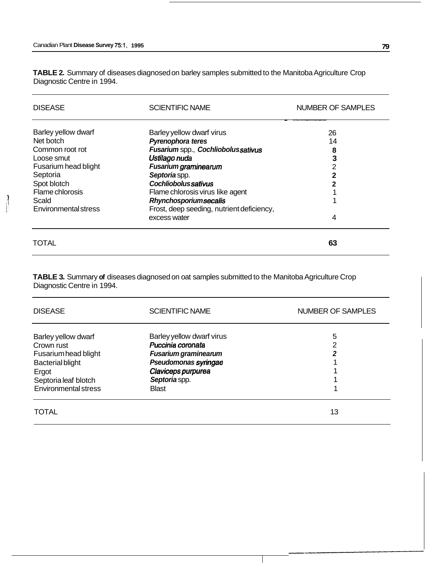**TABLE 2.** Summary of diseases diagnosed on barley samples submitted to the Manitoba Agriculture Crop Diagnostic Centre in 1994.

| <b>DISEASE</b>              | <b>SCIENTIFIC NAME</b>                    | <b>NUMBER OF SAMPLES</b> |
|-----------------------------|-------------------------------------------|--------------------------|
| Barley yellow dwarf         | Barley yellow dwarf virus                 | 26                       |
| Net botch                   | <b>Pyrenophora teres</b>                  | 14                       |
| Common root rot             | Fusarium spp., Cochliobolussativus        | 8                        |
| Loose smut                  | Ustilago nuda                             |                          |
| Fusarium head blight        | <b>Fusarium graminearum</b>               | 2                        |
| Septoria                    | Septoria spp.                             |                          |
| Spot blotch                 | Cochliobolussativus                       |                          |
| Flame chlorosis             | Flame chlorosis virus like agent          |                          |
| Scald                       | <b>Rhynchosporiumsecalis</b>              |                          |
| <b>Environmental stress</b> | Frost, deep seeding, nutrient deficiency, |                          |
|                             | excess water                              | 4                        |
| TOTAL                       |                                           | 63                       |

**TABLE 3.** Summary **of** diseases diagnosed on oat samples submitted to the Manitoba Agriculture Crop Diagnostic Centre in 1994.

| <b>DISEASE</b>              | <b>SCIENTIFIC NAME</b>      | <b>NUMBER OF SAMPLES</b> |
|-----------------------------|-----------------------------|--------------------------|
| Barley yellow dwarf         | Barley yellow dwarf virus   | 5                        |
| Crown rust                  | Puccinia coronata           |                          |
| Fusarium head blight        | <b>Fusarium graminearum</b> |                          |
| <b>Bacterial blight</b>     | Pseudomonas syringae        |                          |
| Ergot                       | Claviceps purpurea          |                          |
| Septoria leaf blotch        | Septoria spp.               |                          |
| <b>Environmental stress</b> | <b>Blast</b>                |                          |
| TOTAL                       |                             | 13                       |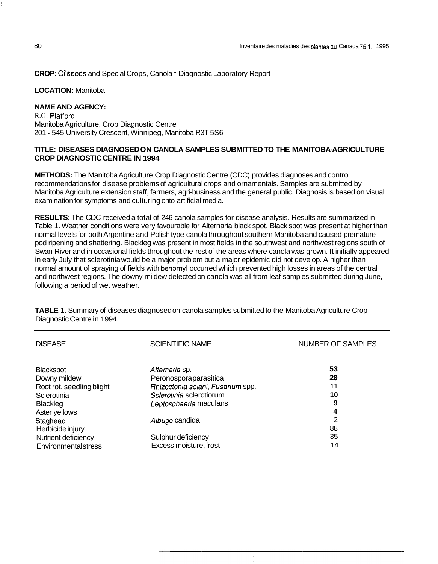**CROP:** Oilseeds and Special Crops, Canola - Diagnostic Laboratory Report

#### **LOCATION:** Manitoba

#### **NAME AND AGENCY:**

R.G. Platford Manitoba Agriculture, Crop Diagnostic Centre 201 - 545 University Crescent, Winnipeg, Manitoba R3T 5S6

#### **TITLE: DISEASES DIAGNOSED ON CANOLA SAMPLES SUBMITTED TO THE MANITOBA-AGRICULTURE CROP DIAGNOSTIC CENTRE IN 1994**

**METHODS:** The Manitoba Agriculture Crop Diagnostic Centre (CDC) provides diagnoses and control recommendations for disease problems of agricultural crops and ornamentals. Samples are submitted by Manitoba Agriculture extension staff, farmers, agri-business and the general public. Diagnosis is based on visual examination for symptoms and culturing onto artificial media.

**RESULTS:** The CDC received a total of 246 canola samples for disease analysis. Results are summarized in Table 1. Weather conditions were very favourable for Alternaria black spot. Black spot was present at higher than normal levels for both Argentine and Polish type canola throughout southern Manitoba and caused premature pod ripening and shattering. Blackleg was present in most fields in the southwest and northwest regions south of Swan River and in occasional fields throughout the rest of the areas where canola was grown. It initially appeared in early July that sclerotinia would be a major problem but a major epidemic did not develop. A higher than normal amount of spraying of fields with benomyl occurred which prevented high losses in areas of the central and northwest regions. The downy mildew detected on canola was all from leaf samples submitted during June, following a period of wet weather.

| <b>DISEASE</b>            | <b>SCIENTIFIC NAME</b>            | NUMBER OF SAMPLES |
|---------------------------|-----------------------------------|-------------------|
| <b>Blackspot</b>          | Alternaria sp.                    | 53                |
| Downy mildew              | Peronosporaparasitica             | 20                |
| Root rot, seedling blight | Rhizoctonia solani, Fusarium spp. | 11                |
| Sclerotinia               | Sclerotinia sclerotiorum          | 10                |
| Blackleg                  | Leptosphaeria maculans            | 9                 |
| Aster yellows             |                                   | 4                 |
| Staghead                  | Albugo candida                    | 2                 |
| Herbicide injury          |                                   | 88                |
| Nutrient deficiency       | Sulphur deficiency                | 35                |
| Environmentalstress       | Excess moisture, frost            | 14                |

**TABLE 1.** Summary **of** diseases diagnosed on canola samples submitted to the Manitoba Agriculture Crop Diagnostic Centre in 1994.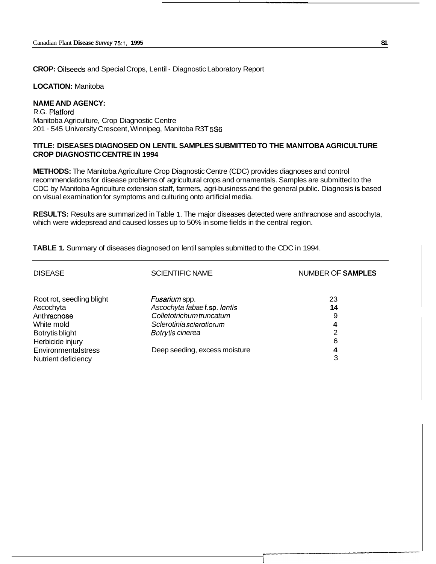**CROP:** Oilseeds and Special Crops, Lentil - Diagnostic Laboratory Report

**LOCATION:** Manitoba

### **NAME AND AGENCY:**

R.G. Platford Manitoba Agriculture, Crop Diagnostic Centre 201 - 545 University Crescent, Winnipeg, Manitoba R3T *5S6* 

#### **TITLE: DISEASES DIAGNOSED ON LENTIL SAMPLES SUBMITTED TO THE MANITOBA AGRICULTURE CROP DIAGNOSTIC CENTRE IN 1994**

**J** -\_I-

**METHODS:** The Manitoba Agriculture Crop Diagnostic Centre (CDC) provides diagnoses and control recommendations for disease problems of agricultural crops and ornamentals. Samples are submitted to the CDC by Manitoba Agriculture extension staff, farmers, agri-business and the general public. Diagnosis **is** based on visual examination for symptoms and culturing onto artificial media.

**RESULTS:** Results are summarized in Table 1. The major diseases detected were anthracnose and ascochyta, which were widepsread and caused losses up to 50% in some fields in the central region.

| <b>DISEASE</b>                             | <b>SCIENTIFIC NAME</b>                             | <b>NUMBER OF SAMPLES</b> |
|--------------------------------------------|----------------------------------------------------|--------------------------|
| Root rot, seedling blight<br>Ascochyta     | Fusarium spp.<br>Ascochyta fabaet.sp. lentis       | 23<br>14                 |
| Anthracnose<br>White mold                  | Colletotrichumtruncatum<br>Sclerotiniasclerotiorum | 9<br>4                   |
| Botrytis blight<br>Herbicide injury        | Botrytis cinerea                                   | າ<br>6                   |
| Environmentalstress<br>Nutrient deficiency | Deep seeding, excess moisture                      | 4<br>3                   |

**TABLE 1.** Summary of diseases diagnosed on lentil samples submitted to the CDC in 1994.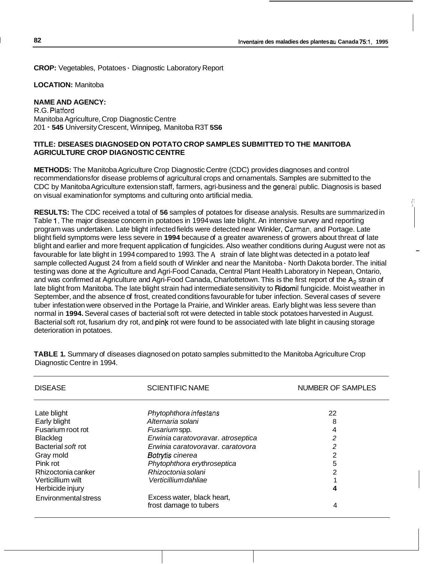...

**CROP:** Vegetables, Potatoes - Diagnostic Laboratory Report

**LOCATION:** Manitoba

### **NAME AND AGENCY:**

R.G. Platford Manitoba Agriculture, Crop Diagnostic Centre 201 - **545** University Crescent, Winnipeg, Manitoba R3T **5S6** 

#### **TITLE: DISEASES DIAGNOSED ON POTATO CROP SAMPLES SUBMITTED TO THE MANITOBA AGRICULTURE CROP DIAGNOSTIC CENTRE**

**METHODS:** The Manitoba Agriculture Crop Diagnostic Centre (CDC) provides diagnoses and control recommendations for disease problems of agricultural crops and ornamentals. Samples are submitted to the CDC by Manitoba Agriculture extension staff, farmers, agri-business and the general public. Diagnosis is based on visual examination for symptoms and culturing onto artificial media.

**RESULTS:** The CDC received a total of **56** samples of potatoes for disease analysis. Results are summarized in Table 1. The major disease concern in potatoes in 1994 was late blight. An intensive survey and reporting program was undertaken. Late blight infected fields were detected near Winkler, Carman, and Portage. Late blight field symptoms were less severe in **1994** because of a greater awareness of growers about threat of late blight and earlier and more frequent application of fungicides. Also weather conditions during August were not as favourable for late blight in 1994 compared to 1993. The A strain of late blight was detected in a potato leaf sample collected August 24 from a field south of Winkler and near the Manitoba - North Dakota border. The initial testing was done at the Agriculture and Agri-Food Canada, Central Plant Health Laboratory in Nepean, Ontario, and was confirmed at Agriculture and Agri-Food Canada, Charlottetown. This is the first report of the A<sub>2</sub> strain of late blight from Manitoba. The late blight strain had intermediate sensitivity to Ridomil fungicide. Moist weather in September, and the absence of frost, created conditions favourable for tuber infection. Several cases of severe tuber infestation were observed in the Portage la Prairie, and Winkler areas. Early blight was less severe than normal in **1994.** Several cases of bacterial soft rot were detected in table stock potatoes harvested in August. Bacterial soft rot, fusarium dry rot, and pink rot were found to be associated with late blight in causing storage deterioration in potatoes.

| <b>DISEASE</b>              | <b>SCIENTIFIC NAME</b>             | NUMBER OF SAMPLES |
|-----------------------------|------------------------------------|-------------------|
| Late blight                 | Phytophthora infestans             | 22                |
| Early blight                | Alternaria solani                  | 8                 |
| Fusarium root rot           | Fusariumspp.                       | 4                 |
| <b>Blackleg</b>             | Erwinia caratovoravar. atroseptica | 2                 |
| Bacterial soft rot          | Erwinia caratovoravar, caratovora  | 2                 |
| Gray mold                   | <b>Botrytis cinerea</b>            | 2                 |
| Pink rot                    | Phytophthora erythroseptica        | 5                 |
| Rhizoctonia canker          | Rhizoctonia solani                 | 2                 |
| Verticillium wilt           | Verticillium dahliae               |                   |
| Herbicide injury            |                                    | 4                 |
| <b>Environmental stress</b> | Excess water, black heart,         |                   |
|                             | frost damage to tubers             | 4                 |

**TABLE 1.** Summary of diseases diagnosed on potato samples submitted to the Manitoba Agriculture Crop Diagnostic Centre in 1994.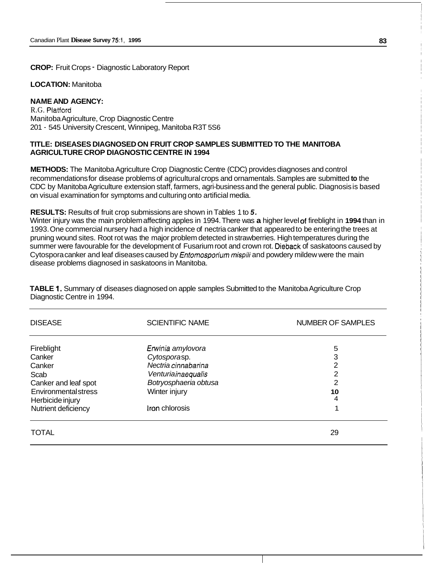**CROP:** Fruit Crops - Diagnostic Laboratory Report

#### **LOCATION:** Manitoba

#### **NAME AND AGENCY:**

R.G. Platford Manitoba Agriculture, Crop Diagnostic Centre 201 - 545 University Crescent, Winnipeg, Manitoba R3T 5S6

#### **TITLE: DISEASES DIAGNOSED ON FRUIT CROP SAMPLES SUBMITTED TO THE MANITOBA AGRICULTURE CROP DIAGNOSTIC CENTRE IN 1994**

**METHODS:** The Manitoba Agriculture Crop Diagnostic Centre (CDC) provides diagnoses and control recommendations for disease problems of agricultural crops and ornamentals. Samples are submitted **to** the CDC by Manitoba Agriculture extension staff, farmers, agri-business and the general public. Diagnosis is based on visual examination for symptoms and culturing onto artificial media.

**RESULTS:** Results of fruit crop submissions are shown in Tables 1 to *5.* 

Winter injury was the main problem affecting apples in 1994. There was **a** higher level af fireblight in **1994** than in 1993. One commercial nursery had a high incidence of nectria canker that appeared to be entering the trees at pruning wound sites. Root rot was the major problem detected in strawberries. High temperatures during the summer were favourable for the development of Fusarium root and crown rot. Dieback of saskatoons caused by Cytospora canker and leaf diseases caused by *Entomosporium mispili* and powdery mildew were the main disease problems diagnosed in saskatoons in Manitoba.

**TABLE 1.** Summary of diseases diagnosed on apple samples Submitted to the Manitoba Agriculture Crop Diagnostic Centre in 1994.

| <b>DISEASE</b>       | <b>SCIENTIFIC NAME</b> | <b>NUMBER OF SAMPLES</b> |
|----------------------|------------------------|--------------------------|
| Fireblight           | Erwinia amylovora      | 5                        |
| Canker               | Cytosporasp.           | 3                        |
| Canker               | Nectria cinnabarina    | 2                        |
| Scab                 | Venturiainaequalis     | $\overline{2}$           |
| Canker and leaf spot | Botryosphaeria obtusa  | 2                        |
| Environmentalstress  | Winter injury          | 10                       |
| Herbicide injury     |                        | 4                        |
| Nutrient deficiency  | Iron chlorosis         |                          |
| <b>TOTAL</b>         |                        | 29                       |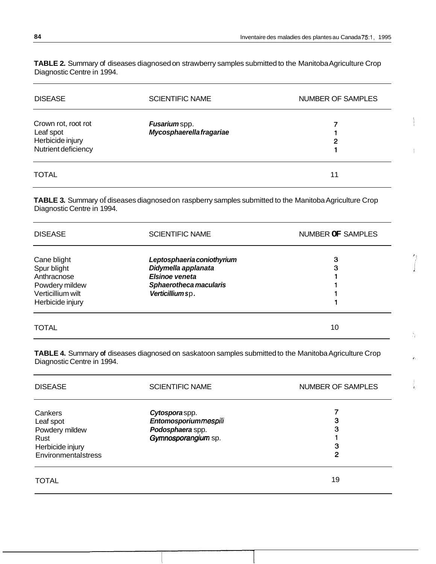Ą.

Ÿ.

**TABLE 2.** Summary of diseases diagnosed on strawberry samples submitted to the Manitoba Agriculture Crop Diagnostic Centre in 1994.

| <b>DISEASE</b>                                                              | <b>SCIENTIFIC NAME</b>                    | <b>NUMBER OF SAMPLES</b> |
|-----------------------------------------------------------------------------|-------------------------------------------|--------------------------|
| Crown rot, root rot<br>Leaf spot<br>Herbicide injury<br>Nutrient deficiency | Fusarium spp.<br>Mycosphaerella fragariae | 2                        |
| <b>TOTAL</b>                                                                |                                           | 11                       |

**TABLE 3.** Summary of diseases diagnosed on raspberry samples submitted to the Manitoba Agriculture Crop Diagnostic Centre in 1994.

| <b>DISEASE</b>                                                                                       | <b>SCIENTIFIC NAME</b>                                                                                                   | NUMBER OF SAMPLES |
|------------------------------------------------------------------------------------------------------|--------------------------------------------------------------------------------------------------------------------------|-------------------|
| Cane blight<br>Spur blight<br>Anthracnose<br>Powdery mildew<br>Verticillium wilt<br>Herbicide injury | Leptosphaeria coniothyrium<br>Didymella applanata<br><b>Elsinoe veneta</b><br>Sphaerotheca macularis<br>Verticillium sp. | 3<br>3            |
| <b>TOTAL</b>                                                                                         |                                                                                                                          | 10                |

**TABLE 4.** Summary **of** diseases diagnosed on saskatoon samples submitted to the Manitoba Agriculture Crop Diagnostic Centre in 1994.

| <b>DISEASE</b>                                                                            | <b>SCIENTIFIC NAME</b>                                                           | <b>NUMBER OF SAMPLES</b> |
|-------------------------------------------------------------------------------------------|----------------------------------------------------------------------------------|--------------------------|
| Cankers<br>Leaf spot<br>Powdery mildew<br>Rust<br>Herbicide injury<br>Environmentalstress | Cytosporaspp.<br>Entomosporiummespili<br>Podosphaera spp.<br>Gymnosporangium sp. | 3<br>З<br>3<br>2         |
| <b>TOTAL</b>                                                                              |                                                                                  | 19                       |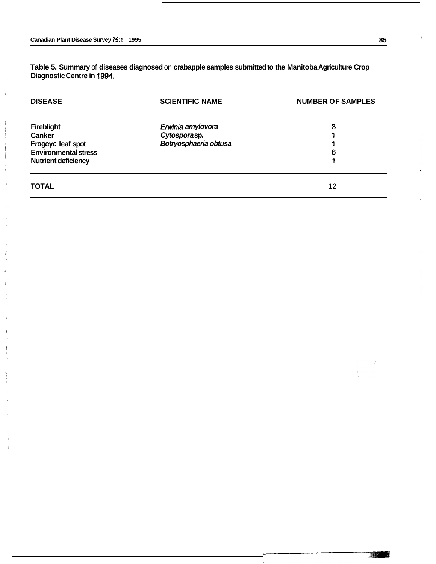**Table 5. Summary** of **diseases diagnosed** on **crabapple samples submitted to the Manitoba Agriculture Crop Diagnostic Centre in 1994.** 

| <b>DISEASE</b>                                                                                                       | <b>SCIENTIFIC NAME</b>                                     | <b>NUMBER OF SAMPLES</b> |  |
|----------------------------------------------------------------------------------------------------------------------|------------------------------------------------------------|--------------------------|--|
| <b>Fireblight</b><br><b>Canker</b><br>Frogeye leaf spot<br><b>Environmental stress</b><br><b>Nutrient deficiency</b> | Erwinia amylovora<br>Cytosporasp.<br>Botryosphaeria obtusa | з<br>6                   |  |
| <b>TOTAL</b>                                                                                                         |                                                            | 12                       |  |

I

i I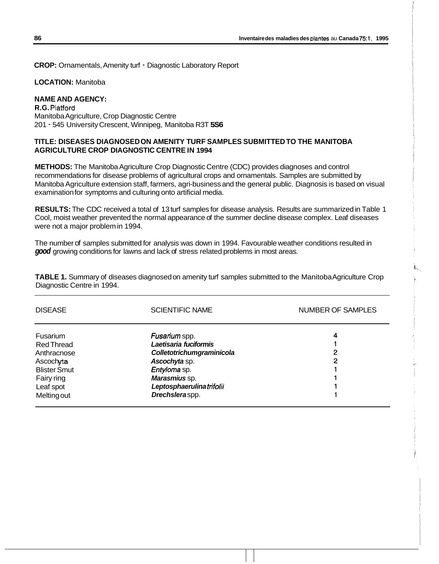**CROP:** Ornamentals, Amenity turf - Diagnostic Laboratory Report

**LOCATION:** Manitoba

# **NAME AND AGENCY:**

**R.G.** Platford Manitoba Agriculture, Crop Diagnostic Centre 201 - 545 University Crescent, Winnipeg, Manitoba R3T **5S6** 

#### **TITLE: DISEASES DIAGNOSED ON AMENITY TURF SAMPLES SUBMITTED TO THE MANITOBA AGRICULTURE CROP DIAGNOSTIC CENTRE IN 1994**

**METHODS:** The Manitoba Agriculture Crop Diagnostic Centre (CDC) provides diagnoses and control recommendations for disease problems of agricultural crops and ornamentals. Samples are submitted by Manitoba Agriculture extension staff, farmers, agri-business and the general public. Diagnosis is based on visual examination for symptoms and culturing onto artificial media.

**RESULTS:** The CDC received a total of 13 turf samples for disease analysis. Results are summarized in Table 1 Cool, moist weather prevented the normal appearance of the summer decline disease complex. Leaf diseases were not a major problem in 1994.

The number of samples submitted for analysis was down in 1994. Favourable weather conditions resulted in *good* growing conditions for lawns and lack of stress related problems in most areas.

**TABLE 1.** Summary of diseases diagnosed on amenity turf samples submitted to the Manitoba Agriculture Crop Diagnostic Centre in 1994.

| <b>DISEASE</b>                                                                                 | <b>SCIENTIFIC NAME</b>                                                                                                | <b>NUMBER OF SAMPLES</b> |
|------------------------------------------------------------------------------------------------|-----------------------------------------------------------------------------------------------------------------------|--------------------------|
| <b>Fusarium</b><br>Red Thread<br>Anthracnose<br>Ascochyta<br><b>Blister Smut</b><br>Fairy ring | Fusarium spp.<br>Laetisaria fuciformis<br>Colletotrichumgraminicola<br>Ascochyta sp.<br>Entyloma sp.<br>Marasmius sp. | 4<br>2<br>2              |
| Leaf spot<br>Meltingout                                                                        | Leptosphaerulinatrifolii<br>Drechsleraspp.                                                                            |                          |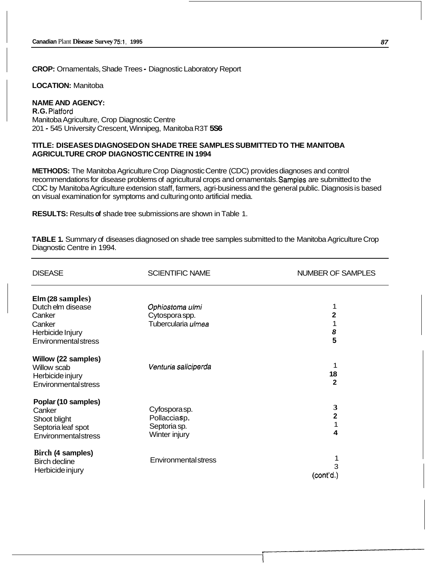**CROP:** Ornamentals, Shade Trees - Diagnostic Laboratory Report

**LOCATION:** Manitoba

#### **NAME AND AGENCY: R.G.** Platford

Manitoba Agriculture, Crop Diagnostic Centre 201 - 545 University Crescent, Winnipeg, Manitoba R3T **5S6** 

#### **TITLE: DISEASES DIAGNOSED ON SHADE TREE SAMPLES SUBMITTED TO THE MANITOBA AGRICULTURE CROP DIAGNOSTIC CENTRE IN 1994**

**METHODS:** The Manitoba Agriculture Crop Diagnostic Centre (CDC) provides diagnoses and control recommendations for disease problems of agricultural crops and ornamentals. Samples are submitted to the CDC by Manitoba Agriculture extension staff, farmers, agri-business and the general public. Diagnosis is based on visual examination for symptoms and culturing onto artificial media.

**RESULTS:** Results **of** shade tree submissions are shown in Table 1.

**TABLE 1.** Summary of diseases diagnosed on shade tree samples submitted to the Manitoba Agriculture Crop Diagnostic Centre in 1994.

| <b>DISEASE</b>              | <b>SCIENTIFIC NAME</b>      | <b>NUMBER OF SAMPLES</b> |
|-----------------------------|-----------------------------|--------------------------|
| Elm (28 samples)            |                             |                          |
| Dutch elm disease           | Ophiostoma ulmi             | 1                        |
| Canker                      | Cytospora spp.              | $\mathbf 2$              |
| Canker                      | Tubercularia ulmea          | 1                        |
| Herbicide Injury            |                             | 8                        |
| <b>Environmental stress</b> |                             | 5                        |
| Willow (22 samples)         |                             |                          |
| Willow scab                 | Venturia saliciperda        | 1                        |
| Herbicide injury            |                             | 18                       |
| <b>Environmental stress</b> |                             | $\mathbf{2}$             |
| Poplar (10 samples)         |                             |                          |
| Canker                      | Cyfosporasp.                | 3                        |
| Shoot blight                | Pollacciasp.                | $\overline{\mathbf{2}}$  |
| Septoria leaf spot          | Septoria sp.                | 1                        |
| Environmentalstress         | Winter injury               | 4                        |
| Birch (4 samples)           |                             |                          |
| <b>Birch decline</b>        | <b>Environmental stress</b> |                          |
| Herbicide injury            |                             | 3                        |
|                             |                             | (cont'd.)                |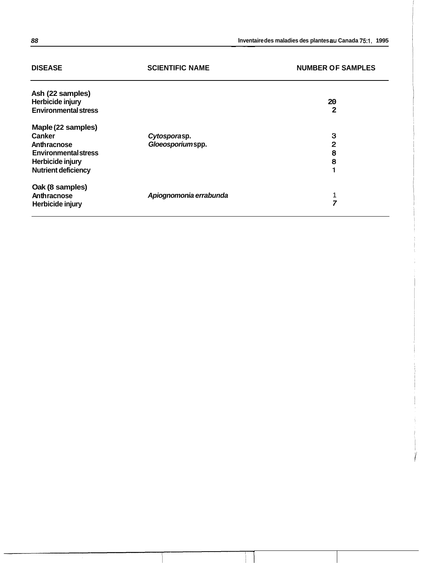| <b>DISEASE</b>              | <b>SCIENTIFIC NAME</b> | <b>NUMBER OF SAMPLES</b> |
|-----------------------------|------------------------|--------------------------|
| Ash (22 samples)            |                        |                          |
| Herbicide injury            |                        | 20                       |
| <b>Environmental stress</b> |                        | 2                        |
| Maple (22 samples)          |                        |                          |
| <b>Canker</b>               | Cytosporasp.           | 3                        |
| Anthracnose                 | Gloeosporiumspp.       | 2                        |
| <b>Environmental stress</b> |                        | 8                        |
| Herbicide injury            |                        | 8                        |
| <b>Nutrient deficiency</b>  |                        | 1                        |
| Oak (8 samples)             |                        |                          |
| Anthracnose                 | Apiognomonia errabunda | 1                        |
| Herbicide injury            |                        | 7                        |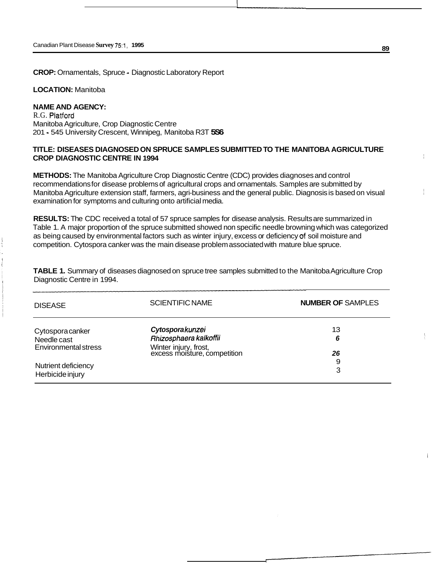**CROP:** Ornamentals, Spruce - Diagnostic Laboratory Report

**LOCATION:** Manitoba

# **NAME AND AGENCY:**

R.G. Platford Manitoba Agriculture, Crop Diagnostic Centre 201 - 545 University Crescent, Winnipeg, Manitoba R3T **5S6** 

#### **TITLE: DISEASES DIAGNOSED ON SPRUCE SAMPLES SUBMITTED TO THE MANITOBA AGRICULTURE CROP DIAGNOSTIC CENTRE IN 1994**

**METHODS:** The Manitoba Agriculture Crop Diagnostic Centre (CDC) provides diagnoses and control recommendations for disease problems of agricultural crops and ornamentals. Samples are submitted by Manitoba Agriculture extension staff, farmers, agri-business and the general public. Diagnosis is based on visual examination for symptoms and culturing onto artificial media.

**RESULTS:** The CDC received a total of 57 spruce samples for disease analysis. Results are summarized in Table 1. A major proportion of the spruce submitted showed non specific needle browning which was categorized as being caused by environmental factors such as winter injury, excess or deficiency af soil moisture and competition. Cytospora canker was the main disease problem associated with mature blue spruce.

**TABLE 1.** Summary of diseases diagnosed on spruce tree samples submitted to the Manitoba Agriculture Crop Diagnostic Centre in 1994.

| <b>DISEASE</b>                                          | <b>SCIENTIFIC NAME</b>                                                                             | <b>NUMBER OF SAMPLES</b> |
|---------------------------------------------------------|----------------------------------------------------------------------------------------------------|--------------------------|
| Cytospora canker<br>Needle cast<br>Environmental stress | Cytosporakunzei<br>Rhizosphaera kalkoffii<br>Winter injury, frost,<br>excess moisture, competition | 13<br>6<br>26            |
| Nutrient deficiency<br>Herbicide injury                 |                                                                                                    | 9<br>3                   |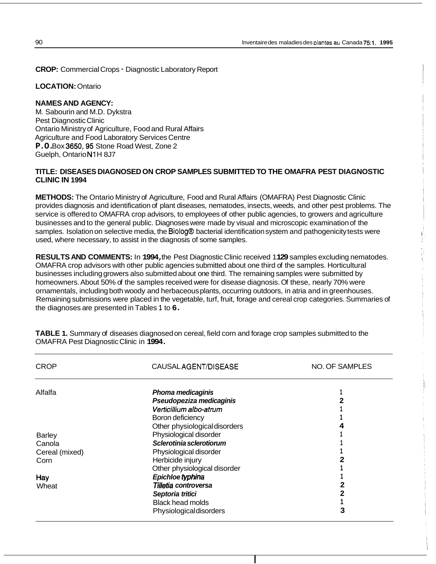**CROP:** Commercial Crops - Diagnostic Laboratory Report

**LOCATION:** Ontario

#### **NAMES AND AGENCY:**

M. Sabourin and M.D. Dykstra Pest Diagnostic Clinic Ontario Ministry of Agriculture, Food and Rural Affairs Agriculture and Food Laboratory Services Centre **P.O.** Box **3650,95** Stone Road West, Zone 2 Guelph, Ontario **N1** H 8J7

### **TITLE: DISEASES DIAGNOSED ON CROP SAMPLES SUBMITTED TO THE OMAFRA PEST DIAGNOSTIC CLINIC IN 1994**

**METHODS:** The Ontario Ministry of Agriculture, Food and Rural Affairs (OMAFRA) Pest Diagnostic Clinic provides diagnosis and identification of plant diseases, nematodes, insects, weeds, and other pest problems. The service is offered to OMAFRA crop advisors, to employees of other public agencies, to growers and agriculture businesses and to the general public. Diagnoses were made by visual and microscopic examination of the samples. Isolation on selective media, the Biolog@ bacterial identification system and pathogenicity tests were used, where necessary, to assist in the diagnosis of some samples.

**RESULTS AND COMMENTS:** In **1994,** the Pest Diagnostic Clinic received 1 **129** samples excluding nematodes. OMAFRA crop advisors with other public agencies submitted about one third of the samples. Horticultural businesses including growers also submitted about one third. The remaining samples were submitted by homeowners. About 50% of the samples received were for disease diagnosis. Of these, nearly 70% were ornamentals, including both woody and herbaceous plants, occurring outdoors, in atria and in greenhouses. Remaining submissions were placed in the vegetable, turf, fruit, forage and cereal crop categories. Summaries of the diagnoses are presented in Tables **1** to **6.** 

| <b>CROP</b>    | CAUSALAGENT/DISEASE            | NO. OF SAMPLES |
|----------------|--------------------------------|----------------|
| Alfalfa        | Phoma medicaginis              |                |
|                | Pseudopeziza medicaginis       | 2              |
|                | Verticillium albo-atrum        |                |
|                | Boron deficiency               |                |
|                | Other physiological disorders  | 4              |
| <b>Barley</b>  | Physiological disorder         |                |
| Canola         | Sclerotinia sclerotiorum       |                |
| Cereal (mixed) | Physiological disorder         |                |
| Corn           | Herbicide injury               | 2              |
|                | Other physiological disorder   |                |
| Hay            | Epichloe typhina               |                |
| Wheat          | Tilletia controversa           |                |
|                | Septoria tritici               | 2              |
|                | <b>Black head molds</b>        |                |
|                | <b>Physiological disorders</b> | 3              |

**TABLE 1.** Summary of diseases diagnosed on cereal, field corn and forage crop samples submitted to the OMAFRA Pest Diagnostic Clinic in **1994.**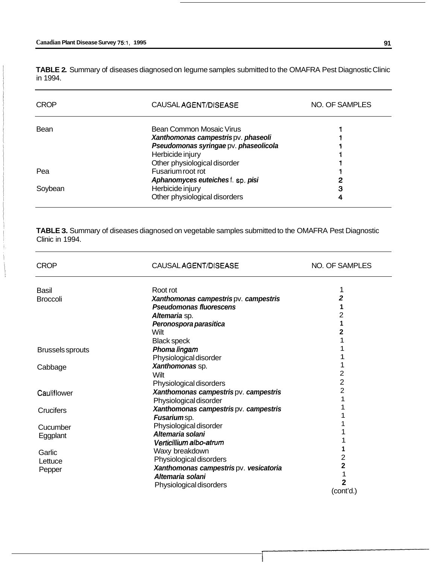**TABLE 2.** Summary of diseases diagnosed on legume samples submitted to the OMAFRA Pest Diagnostic Clinic in 1994.

| <b>CROP</b> | CAUSALAGENT/DISEASE                   | NO. OF SAMPLES |
|-------------|---------------------------------------|----------------|
| Bean        | Bean Common Mosaic Virus              |                |
|             | Xanthomonas campestrispv. phaseoli    |                |
|             | Pseudomonas syringae pv. phaseolicola |                |
|             | Herbicide injury                      |                |
|             | Other physiological disorder          |                |
| Pea         | Fusarium root rot                     |                |
|             | Aphanomyces euteiches f. sp. pisi     | 2              |
| Soybean     | Herbicide injury                      | З              |
|             | Other physiological disorders         |                |

**TABLE 3.** Summary of diseases diagnosed on vegetable samples submitted to the OMAFRA Pest Diagnostic Clinic in 1994.

| <b>CROP</b>             | CAUSAL AGENT/DISEASE                   | NO. OF SAMPLES |
|-------------------------|----------------------------------------|----------------|
| <b>Basil</b>            | Root rot                               | 1              |
| <b>Broccoli</b>         | Xanthomonas campestris pv. campestris  | 2              |
|                         | <b>Pseudomonas fluorescens</b>         | 1              |
|                         | Altemaria sp.                          | 2              |
|                         | Peronospora parasitica                 | 1              |
|                         | Wilt                                   | 2              |
|                         | <b>Black speck</b>                     |                |
| <b>Brussels sprouts</b> | Phoma lingam                           |                |
|                         | Physiological disorder                 |                |
| Cabbage                 | Xanthomonas sp.                        |                |
|                         | Wilt                                   | 2              |
|                         | Physiological disorders                | 2              |
| Cauliflower             | Xanthomonas campestris pv. campestris  | $\overline{2}$ |
|                         | Physiological disorder                 |                |
| Crucifers               | Xanthomonas campestris pv. campestris  |                |
|                         | Fusariumsp.                            |                |
| Cucumber                | Physiological disorder                 |                |
| Eggplant                | Altemaria solani                       |                |
|                         | Verticillium albo-atrum                |                |
| Garlic                  | Waxy breakdown                         |                |
| Lettuce                 | Physiological disorders                | 2              |
| Pepper                  | Xanthomonas campestris pv. vesicatoria | 2              |
|                         | Altemaria solani                       |                |
|                         | Physiological disorders                | 2              |
|                         |                                        | (cont'd.)      |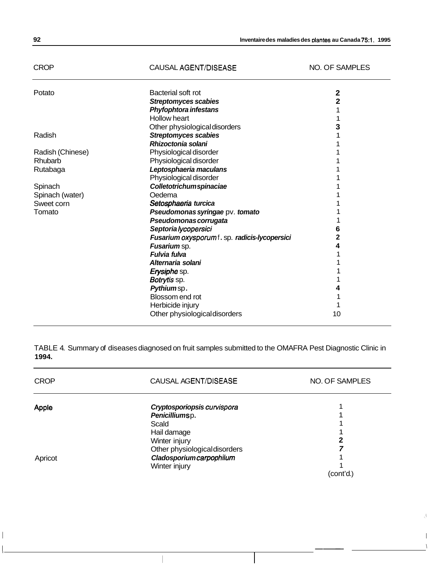# CROP CAUSAL AGENT/DISEASE NO. OF SAMPLES

Ĵ.

| Potato           | Bacterial soft rot                            | 2  |
|------------------|-----------------------------------------------|----|
|                  | <b>Streptomyces scabies</b>                   | 2  |
|                  | Phyfophtora infestans                         |    |
|                  | <b>Hollow heart</b>                           |    |
|                  | Other physiological disorders                 | 3  |
| Radish           | <b>Streptomyces scabies</b>                   |    |
|                  | Rhizoctonia solani                            |    |
| Radish (Chinese) | Physiological disorder                        |    |
| Rhubarb          | Physiological disorder                        |    |
| Rutabaga         | Leptosphaeria maculans                        |    |
|                  | Physiological disorder                        |    |
| Spinach          | Colletotrichumspinaciae                       |    |
| Spinach (water)  | Oedema                                        |    |
| Sweet corn       | Setosphaeria turcica                          |    |
| Tomato           | Pseudomonas syringae pv. tomato               |    |
|                  | Pseudomonas corrugata                         |    |
|                  | Septorialycopersici                           | 6  |
|                  | Fusarium oxysporum f. sp. radicis-lycopersici | 2  |
|                  | Fusarium sp.                                  | 4  |
|                  | Fulvia fulva                                  |    |
|                  | Alternaria solani                             |    |
|                  | Erysiphe sp.                                  |    |
|                  | Botrytis sp.                                  |    |
|                  | Pythiumsp.                                    |    |
|                  | Blossom end rot                               |    |
|                  | Herbicide injury                              |    |
|                  | Other physiological disorders                 | 10 |
|                  |                                               |    |

TABLE 4. Summary of diseases diagnosed on fruit samples submitted to the OMAFRA Pest Diagnostic Clinic in **1994.** 

| <b>CROP</b> | CAUSAL AGENT/DISEASE          | <b>NO. OF SAMPLES</b> |
|-------------|-------------------------------|-----------------------|
| Apple       | Cryptosporiopsis curvispora   |                       |
|             | Penicilliumsp.                |                       |
|             | Scald                         |                       |
|             | Hail damage                   |                       |
|             | Winter injury                 | 2                     |
|             | Other physiological disorders | 7                     |
| Apricot     | Cladosporiumcarpophilum       |                       |
|             | Winter injury                 |                       |
|             |                               | (cont'd.)             |

I a constant and a constant of the constant of the constant of the constant of the constant of the constant of <u>I - Andreas Andreas Andreas Andreas Andreas Andreas Andreas Andreas Andreas Andreas Andreas Andreas Andreas An</u><br>I - Andreas Andreas Andreas Andreas Andreas Andreas Andreas Andreas Andreas Andreas Andreas Andreas Andreas A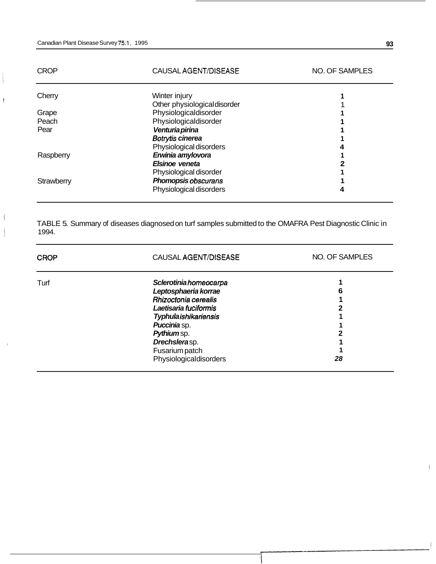$\overline{\phantom{a}}$ 

j

| <b>CROP</b> | CAUSAL AGENT/DISEASE         | <b>NO. OF SAMPLES</b> |
|-------------|------------------------------|-----------------------|
| Cherry      | Winter injury                |                       |
|             | Other physiological disorder |                       |
| Grape       | Physiologicaldisorder        |                       |
| Peach       | Physiologicaldisorder        |                       |
| Pear        | Venturia pirina              |                       |
|             | Botrytis cinerea             |                       |
|             | Physiological disorders      |                       |
| Raspberry   | Erwinia amylovora            |                       |
|             | Elsinoe veneta               |                       |
|             | Physiological disorder       |                       |
| Strawberry  | Phomopsis obscurans          |                       |
|             | Physiological disorders      |                       |

TABLE 5. Summary of diseases diagnosed on turf samples submitted to the OMAFRA Pest Diagnostic Clinic in 1994.

| <b>CROP</b> | CAUSAL AGENT/DISEASE                                 | NO. OF SAMPLES |
|-------------|------------------------------------------------------|----------------|
| Turf        | <b>Sclerotiniahomeocarpa</b><br>Leptosphaeria korrae | 6              |
|             | Rhizoctonia cerealis                                 |                |
|             | Laetisaria fuciformis                                |                |
|             | <b>Typhulaishikariensis</b>                          |                |
|             | <b>Puccinia</b> sp.                                  |                |
|             | Pythium sp.                                          |                |
|             | Drechslerasp.                                        |                |
|             | Fusarium patch                                       |                |
|             | Physiologicaldisorders                               | 28             |

 $\overline{1}$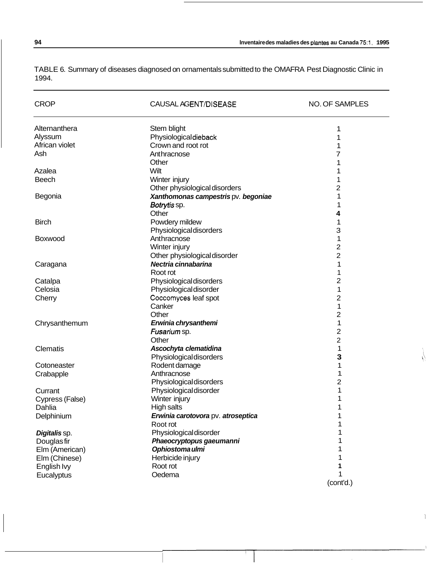TABLE 6. Summary of diseases diagnosed on ornamentals submitted to the OMAFRA Pest Diagnostic Clinic in 1994.

| <b>CROP</b>     | CAUSAL AGENT/DISEASE                | <b>NO. OF SAMPLES</b> |
|-----------------|-------------------------------------|-----------------------|
| Alternanthera   | Stem blight                         | 1                     |
| Alyssum         | Physiologicaldieback                | 1                     |
| African violet  | Crown and root rot                  | 1                     |
| Ash             | Anthracnose                         | 7                     |
|                 | Other                               | 1                     |
| Azalea          | Wilt                                | 1                     |
| <b>Beech</b>    | Winter injury                       | 1                     |
|                 | Other physiological disorders       | 2                     |
| Begonia         | Xanthomonas campestris pv. begoniae | 1                     |
|                 | Botrytis sp.                        | 1                     |
|                 | Other                               | 4                     |
| <b>Birch</b>    | Powdery mildew                      | 1                     |
|                 | Physiological disorders             | 3                     |
| Boxwood         | Anthracnose                         | 1                     |
|                 | Winter injury                       | 2                     |
|                 | Other physiological disorder        | 2                     |
| Caragana        | Nectria cinnabarina                 | 1                     |
|                 | Root rot                            | 1                     |
| Catalpa         | Physiological disorders             | 2                     |
| Celosia         | Physiological disorder              | 1                     |
| Cherry          | Coccomyces leaf spot                | 2                     |
|                 | Canker                              | 1                     |
|                 | Other                               | 2                     |
| Chrysanthemum   | Erwinia chrysanthemi                | 1                     |
|                 | Fusarium sp.                        | 2                     |
|                 | Other                               | 2                     |
| Clematis        | Ascochyta clematidina               | 1                     |
|                 | Physiological disorders             | з                     |
| Cotoneaster     | Rodent damage                       | 1                     |
| Crabapple       | Anthracnose                         | 1                     |
|                 | Physiological disorders             | 2                     |
| Currant         | Physiological disorder              | 1                     |
| Cypress (False) | Winter injury                       | 1                     |
| Dahlia          | High salts                          | 1                     |
| Delphinium      | Erwinia carotovora pv. atroseptica  |                       |
|                 | Root rot                            |                       |
| Digitalis sp.   | Physiological disorder              | 1                     |
| Douglas fir     | Phaeocryptopus gaeumanni            | 1                     |
| Elm (American)  | Ophiostoma ulmi                     | 1                     |
| Elm (Chinese)   | Herbicide injury                    | 1                     |
| English Ivy     | Root rot                            | 1                     |
| Eucalyptus      | Oedema                              | 1                     |
|                 |                                     | (cont'd.)             |

 $\bar{1}$ 

 $\sqrt{ }$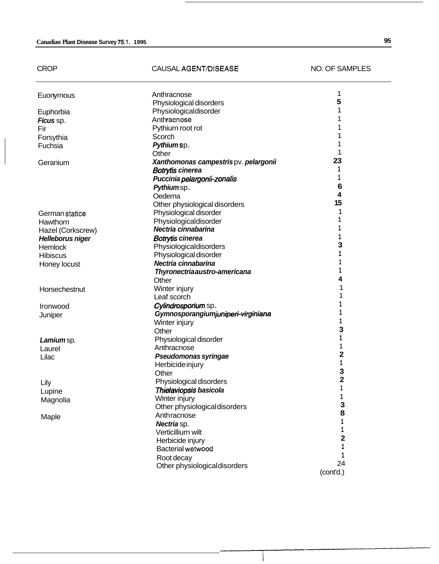| <b>CROP</b>       | CAUSAL AGENT/DISEASE                  | <b>NO. OF SAMPLES</b> |
|-------------------|---------------------------------------|-----------------------|
| Euonyrnous        | Anthracnose                           | 1                     |
|                   | Physiological disorders               | 5                     |
| Euphorbia         | Physiologicaldisorder                 | 1                     |
| Ficus sp.         | Anthracnose                           |                       |
| Fir               | Pythiurn root rot                     |                       |
| Forsythia         | Scorch                                |                       |
| Fuchsia           | Pythiumsp.                            |                       |
|                   | Other                                 | 1                     |
| Geranium          | Xanthomonas campestris pv. pelargonii | 23                    |
|                   | <b>Botrytis cinerea</b>               | 1                     |
|                   | Puccinia pelargonii-zonalis           | 1                     |
|                   | Pythiumsp.                            | 6                     |
|                   | Oederna                               | 4                     |
|                   | Other physiological disorders         | 15                    |
| German statice    | Physiological disorder                | 1                     |
| Hawthorn          | Physiologicaldisorder                 | 1                     |
| Hazel (Corkscrew) | Nectria cinnabarina                   | 1                     |
| Helleborus niger  | <b>Botrytis cinerea</b>               | 1                     |
| Hemlock           | Physiologicaldisorders                | 3                     |
| <b>Hibiscus</b>   | Physiological disorder                | 1                     |
| Honey locust      | Nectria cinnabarina                   | 1                     |
|                   | Thyronectriaaustro-americana          | 1                     |
|                   | Other                                 | 4                     |
| Horsechestnut     | Winter injury                         | 1                     |
|                   | Leaf scorch                           | 1                     |
| Ironwood          | Cylindrosporium sp.                   |                       |
| Juniper           | Gymnosporangiumjuniperi-virginiana    | 1                     |
|                   | Winter injury                         | 1                     |
|                   | Other                                 | 3                     |
| Lamium sp.        | Physiological disorder                |                       |
| Laurel            | Anthracnose                           |                       |
| Lilac             | Pseudomonas syringae                  | 2                     |
|                   | Herbicide injury                      | 1                     |
|                   | Other                                 | ٦                     |
| Lily              | Physiological disorders               | 2                     |
| Lupine            | Thielaviopsis basicola                | 1                     |
| Magnolia          | Winter injury                         | 1                     |
|                   | Other physiological disorders         | 3                     |
| Maple             | Anthracnose                           | 8                     |
|                   | Nectria sp.                           | 1                     |
|                   | Verticilliurn wilt                    | 1                     |
|                   | Herbicide injury                      | 2                     |
|                   | Bacterial wetwood                     | 1                     |
|                   | Root decay                            | 1                     |
|                   | Other physiological disorders         | 24                    |
|                   |                                       | (cont'd.)             |

4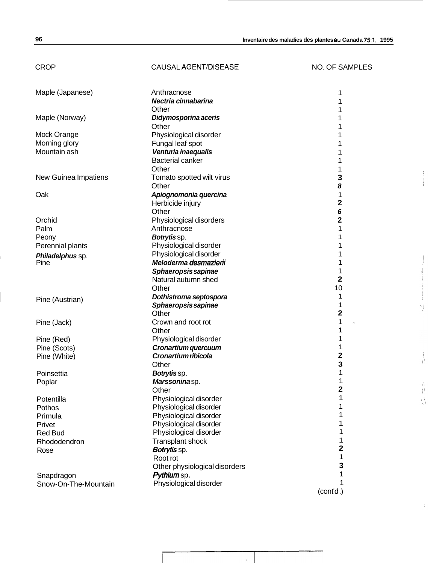### CROP CAUSAL AGENT/DISEASE NO. OF SAMPLES

 $\frac{1}{\frac{1}{2}}$ 

 $\sum_{n=1}^{\infty}$ 

ţ

| Maple (Japanese)     | Anthracnose                   | 1                       |
|----------------------|-------------------------------|-------------------------|
|                      | Nectria cinnabarina           |                         |
|                      | Other                         |                         |
| Maple (Norway)       | Didymosporina aceris          |                         |
|                      | Other                         |                         |
| Mock Orange          | Physiological disorder        |                         |
| Morning glory        | Fungal leaf spot              |                         |
| Mountain ash         | Venturia inaequalis           |                         |
|                      | <b>Bacterial canker</b>       |                         |
|                      | Other                         |                         |
| New Guinea Impatiens | Tomato spotted wilt virus     | 3                       |
|                      | Other                         | 8                       |
| Oak                  | Apiognomonia quercina         | 1                       |
|                      | Herbicide injury              | 2                       |
|                      | Other                         | 6                       |
| Orchid               | Physiological disorders       | 2                       |
| Palm                 | Anthracnose                   | 1                       |
| Peony                | Botrytis sp.                  |                         |
| Perennial plants     | Physiological disorder        |                         |
| Philadelphus sp.     | Physiological disorder        |                         |
| Pine                 | Meloderma desmazierii         |                         |
|                      | Sphaeropsis sapinae           |                         |
|                      | Natural autumn shed           | 2                       |
|                      | Other                         | 10                      |
|                      | Dothistroma septospora        | 1                       |
| Pine (Austrian)      | Sphaeropsis sapinae           | 1                       |
|                      | Other                         | $\overline{\mathbf{c}}$ |
| Pine (Jack)          | Crown and root rot            | 1<br>s.                 |
|                      | Other                         | 1                       |
| Pine (Red)           | Physiological disorder        |                         |
| Pine (Scots)         | Cronartium quercuum           | 1                       |
| Pine (White)         | Cronartium ribicola           | $\overline{\mathbf{2}}$ |
|                      | Other                         | 3                       |
| Poinsettia           | Botrytissp.                   |                         |
| Poplar               | Marssoninasp.                 |                         |
|                      | Other                         | 2                       |
| Potentilla           | Physiological disorder        | 1                       |
| Pothos               | Physiological disorder        |                         |
| Primula              | Physiological disorder        |                         |
| Privet               | Physiological disorder        |                         |
| <b>Red Bud</b>       | Physiological disorder        |                         |
| Rhododendron         | Transplant shock              |                         |
| Rose                 | Botrytis sp.                  | 2                       |
|                      | Root rot                      | 1                       |
|                      | Other physiological disorders | 3                       |
| Snapdragon           | Pythium sp.                   |                         |
| Snow-On-The-Mountain | Physiological disorder        | 1                       |
|                      |                               | (cont'd.)               |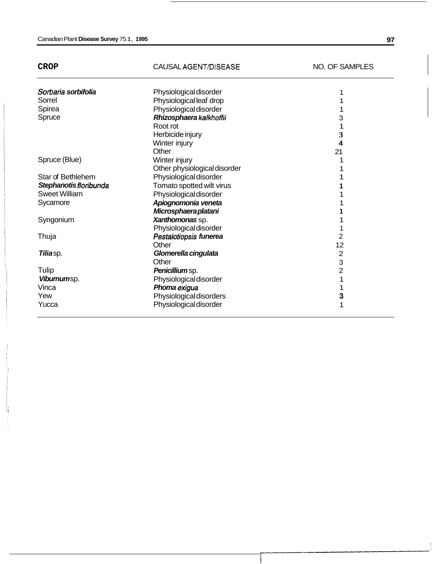| × |  |
|---|--|
|---|--|

Ų

#### CAUSAL AGENT/DISEASE NO. OF SAMPLES

| Sorbaria sorbifolia    | Physiological disorder       |                         |
|------------------------|------------------------------|-------------------------|
| Sorrel                 | Physiological leaf drop      |                         |
| Spirea                 | Physiological disorder       |                         |
| Spruce                 | Rhizosphaera kalkhoffii      | 3                       |
|                        | Root rot                     |                         |
|                        | Herbicide injury             | 3                       |
|                        | Winter injury                | $\overline{\mathbf{4}}$ |
|                        | Other                        | 21                      |
| Spruce (Blue)          | Winter injury                |                         |
|                        | Other physiological disorder |                         |
| Star of Bethlehem      | Physiological disorder       |                         |
| Stephanotis floribunda | Tomato spotted wilt virus    |                         |
| <b>Sweet William</b>   | Physiological disorder       |                         |
| Sycamore               | Apiognomonia veneta          |                         |
|                        | Microsphaera platani         |                         |
| Syngonium              | Xanthomonas sp.              |                         |
|                        | Physiological disorder       |                         |
| Thuja                  | Pestalotiopsis funerea       | 2                       |
|                        | Other                        | 12                      |
| Tiliasp.               | Glomerella cingulata         | 2                       |
|                        | Other                        | 3                       |
| Tulip                  | Penicillium sp.              | $\overline{2}$          |
| Viburnumsp.            | Physiological disorder       |                         |
| Vinca                  | Phoma exigua                 |                         |
| Yew                    | Physiological disorders      | з                       |
| Yucca                  | Physiological disorder       |                         |
|                        |                              |                         |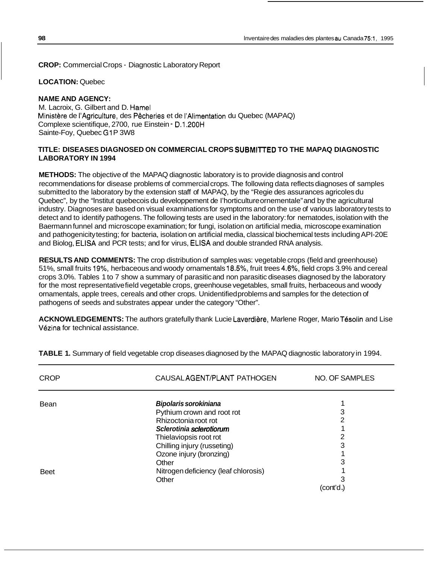**CROP:** Commercial Crops - Diagnostic Laboratory Report

#### **LOCATION:** Quebec

#### **NAME AND AGENCY:**

M. Lacroix, G. Gilbert and D. Hamel Ministere de I'Agriculture, des Pecheries et de I'Alimentation du Quebec (MAPAQ) Complexe scientifique, 2700, rue Einstein - D.1.200H Sainte-Foy, Quebec G1P 3W8

#### **TITLE: DISEASES DIAGNOSED ON COMMERCIAL CROPS SUBMllTED TO THE MAPAQ DIAGNOSTIC LABORATORY IN 1994**

**METHODS:** The objective of the MAPAQ diagnostic laboratory is to provide diagnosis and control recommendations for disease problems of commercial crops. The following data reflects diagnoses of samples submitted to the laboratory by the extension staff of MAPAQ, by the "Regie des assurances agricoles du Quebec", by the "lnstitut quebecois du developpement de I'horticulture ornementale" and by the agricultural industry. Diagnoses are based on visual examinations for symptoms and on the use of various laboratory tests to detect and to identify pathogens. The following tests are used in the laboratory: for nematodes, isolation with the Baermann funnel and microscope examination; for fungi, isolation on artificial media, microscope examination and pathogenicity testing; for bacteria, isolation on artificial media, classical biochemical tests including API-20E and Biolog, ELlSA and PCR tests; and for virus, ELSA and double stranded RNA analysis.

**RESULTS AND COMMENTS:** The crop distribution of samples was: vegetable crops (field and greenhouse) 51 %, small fruits 19%, herbaceous and woody ornamentals 18.5%, fruit trees 4.6%, field crops 3.9% and cereal crops 3.0%. Tables 1 to 7 show a summary of parasitic and non parasitic diseases diagnosed by the laboratory for the most representative field vegetable crops, greenhouse vegetables, small fruits, herbaceous and woody ornamentals, apple trees, cereals and other crops. Unidentified problems and samples for the detection of pathogens of seeds and substrates appear under the category "Other".

ACKNOWLEDGEMENTS: The authors gratefully thank Lucie Laverdière, Marlene Roger, Mario Tésolin and Lise Vezina for technical assistance.

| <b>CROP</b> | CAUSAL AGENT/PLANT PATHOGEN          | <b>NO. OF SAMPLES</b> |
|-------------|--------------------------------------|-----------------------|
| Bean        | <b>Bipolaris sorokiniana</b>         |                       |
|             | Pythium crown and root rot           | 3                     |
|             | Rhizoctonia root rot                 | 2                     |
|             | Sclerotinia sclerotiorum             |                       |
|             | Thielaviopsis root rot               | 2                     |
|             | Chilling injury (russeting)          | 3                     |
|             | Ozone injury (bronzing)              |                       |
|             | Other                                | 3                     |
| <b>Beet</b> | Nitrogen deficiency (leaf chlorosis) |                       |
|             | Other                                | 3                     |
|             |                                      | (cont'd.)             |

**TABLE 1.** Summary of field vegetable crop diseases diagnosed by the MAPAQ diagnostic laboratory in 1994.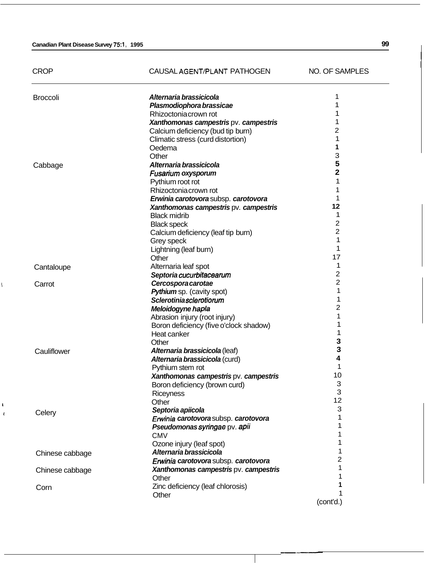#### **Canadian Plant Disease Survey 75:1, 1995 99**

, I

| <b>CROP</b>     | CAUSAL AGENT/PLANT PATHOGEN                     | NO. OF SAMPLES      |
|-----------------|-------------------------------------------------|---------------------|
| <b>Broccoli</b> | Alternaria brassicicola                         |                     |
|                 | Plasmodiophora brassicae                        |                     |
|                 | Rhizoctonia crown rot                           |                     |
|                 | Xanthomonas campestris pv. campestris           |                     |
|                 | Calcium deficiency (bud tip burn)               | 2                   |
|                 | Climatic stress (curd distortion)               | 1                   |
|                 | Oedema                                          | 1                   |
|                 | Other                                           | 3                   |
| Cabbage         | Alternaria brassicicola                         | 5                   |
|                 | Fusarium oxysporum                              | 2                   |
|                 | Pythium root rot                                | 1                   |
|                 | Rhizoctonia crown rot                           |                     |
|                 | Erwinia carotovora subsp. carotovora            | 1                   |
|                 | Xanthomonas campestris pv. campestris           | 12                  |
|                 | <b>Black midrib</b>                             | 1<br>$\overline{2}$ |
|                 | <b>Black speck</b>                              | $\overline{2}$      |
|                 | Calcium deficiency (leaf tip burn)              | 1                   |
|                 | Grey speck                                      | 1                   |
|                 | Lightning (leaf burn)                           | 17                  |
|                 | Other                                           | 1                   |
| Cantaloupe      | Alternaria leaf spot                            | 2                   |
|                 | Septoria cucurbitacearum                        | $\overline{c}$      |
| Carrot          | Cercospora carotae<br>Pythium sp. (cavity spot) | 1                   |
|                 | Sclerotiniasclerotiorum                         | 1                   |
|                 | Meloidogyne hapla                               | 2                   |
|                 | Abrasion injury (root injury)                   |                     |
|                 | Boron deficiency (five o'clock shadow)          | 1                   |
|                 | Heat canker                                     | 1                   |
|                 | Other                                           | з                   |
| Cauliflower     | Alternaria brassicicola (leaf)                  | 3                   |
|                 | Alternaria brassicicola (curd)                  | 4                   |
|                 | Pythium stem rot                                |                     |
|                 | Xanthomonas campestris pv. campestris           | 10                  |
|                 | Boron deficiency (brown curd)                   | 3                   |
|                 | <b>Riceyness</b>                                | 3                   |
|                 | Other                                           | 12                  |
| Celery          | Septoria apiicola                               | 3                   |
|                 | Erwinia carotovora subsp. carotovora            | 1                   |
|                 | Pseudomonas syringae pv. apii                   | 1                   |
|                 | <b>CMV</b>                                      |                     |
|                 | Ozone injury (leaf spot)                        | 1                   |
| Chinese cabbage | Alternaria brassicicola                         | 1                   |
|                 | Erwinia carotovora subsp. carotovora            | 2                   |
| Chinese cabbage | Xanthomonas campestris pv. campestris           | 1                   |
|                 | Other                                           |                     |
| Corn            | Zinc deficiency (leaf chlorosis)                |                     |
|                 | Other                                           | 1                   |

(cont'd.)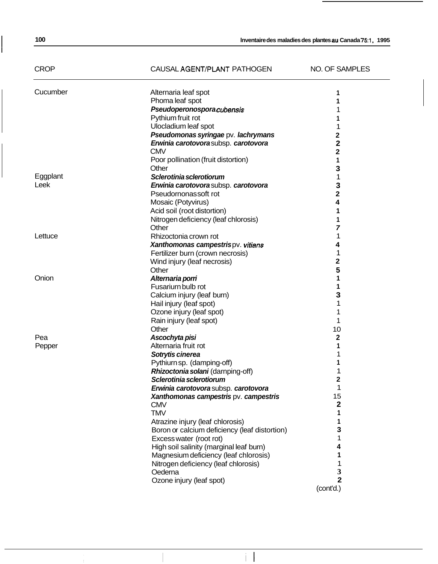# CROP CAUSAL AGENT/PLANT PATHOGEN NO. OF SAMPLES

| Cucumber | Alternaria leaf spot                          |                         |
|----------|-----------------------------------------------|-------------------------|
|          | Phoma leaf spot                               |                         |
|          | Pseudoperonosporacubensis                     |                         |
|          | Pythium fruit rot                             |                         |
|          | Ulocladium leaf spot                          | 1                       |
|          | Pseudomonas syringae pv. lachrymans           | 2                       |
|          | Erwinia carotovorasubsp. carotovora           | 2                       |
|          | <b>CMV</b>                                    | $\overline{\mathbf{2}}$ |
|          | Poor pollination (fruit distortion)           | 1                       |
|          | Other                                         | 3                       |
| Eggplant | Sclerotinia sclerotiorum                      | 1                       |
| Leek     | Erwinia carotovora subsp. carotovora          | 3                       |
|          | Pseudornonassoft rot                          | $\overline{\mathbf{2}}$ |
|          | Mosaic (Potyvirus)                            | 4                       |
|          | Acid soil (root distortion)                   |                         |
|          | Nitrogen deficiency (leaf chlorosis)          | 1                       |
|          | Other                                         | 7                       |
| Lettuce  | Rhizoctonia crown rot                         | 1                       |
|          | Xanthomonas campestrispv. vitians             | 4                       |
|          | Fertilizer burn (crown necrosis)              | 1                       |
|          | Wind injury (leaf necrosis)                   | 2                       |
|          | Other                                         |                         |
| Onion    |                                               | 5<br>1                  |
|          | Alternaria porri<br>Fusariurn bulb rot        |                         |
|          |                                               | 1                       |
|          | Calcium injury (leaf burn)                    | з                       |
|          | Hail injury (leaf spot)                       | 1                       |
|          | Ozone injury (leaf spot)                      | 1                       |
|          | Rain injury (leaf spot)                       | 1                       |
|          | Other                                         | 10                      |
| Pea      | Ascochyta pisi                                | $\mathbf{2}$            |
| Pepper   | Alternaria fruit rot                          | 1                       |
|          | Sotrytis cinerea                              |                         |
|          | Pythiurn sp. (damping-off)                    |                         |
|          | Rhizoctonia solani (darnping-off)             |                         |
|          | Sclerotinia sclerotiorum                      | 2                       |
|          | Erwinia carotovora subsp. carotovora          | 1                       |
|          | Xanthomonas campestris pv. campestris         | 15                      |
|          | <b>CMV</b>                                    | 2                       |
|          | TMV                                           |                         |
|          | Atrazine injury (leaf chlorosis)              |                         |
|          | Boron or calcium deficiency (leaf distortion) | 3                       |
|          | Excess water (root rot)                       |                         |
|          | High soil salinity (marginal leaf burn)       |                         |
|          | Magnesium deficiency (leaf chlorosis)         |                         |
|          | Nitrogen deficiency (leaf chlorosis)          |                         |
|          | Oederna                                       | 3                       |
|          | Ozone injury (leaf spot)                      | $\overline{\mathbf{2}}$ |
|          |                                               | (cont'd.)               |

 $\|\|$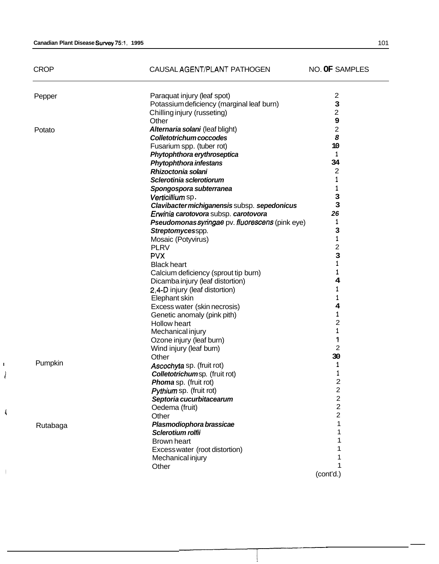*1* 

 $\langle$ 

 $\cdot$ 

|   | <b>CROP</b> | CAUSAL AGENT/PLANT PATHOGEN                                | NO. OF SAMPLES   |
|---|-------------|------------------------------------------------------------|------------------|
|   | Pepper      | Paraquat injury (leaf spot)                                | $\overline{c}$   |
|   |             | Potassium deficiency (marginal leaf burn)                  | 3                |
|   |             | Chilling injury (russeting)                                | $\overline{2}$   |
|   |             | Other                                                      | 9                |
|   | Potato      | Alternaria solani (leaf blight)                            | $\overline{2}$   |
|   |             | Colletotrichum coccodes                                    | 8                |
|   |             | Fusarium spp. (tuber rot)                                  | 10               |
|   |             | Phytophthora erythroseptica                                | 1                |
|   |             | <b>Phytophthora infestans</b>                              | 34               |
|   |             | Rhizoctonia solani                                         | $\boldsymbol{2}$ |
|   |             | Sclerotinia sclerotiorum                                   | 1                |
|   |             | Spongospora subterranea                                    | 1                |
|   |             | Verticillium sp.                                           | 3                |
|   |             | Clavibacter michiganensis subsp. sepedonicus               | 3                |
|   |             | Erwinia carotovora subsp. carotovora                       | 26               |
|   |             | Pseudomonas syringae pv. fluorescens (pink eye)            | 1                |
|   |             | Streptomycesspp.                                           | з                |
|   |             | Mosaic (Potyvirus)                                         | $\mathbf 1$      |
|   |             | <b>PLRV</b>                                                | 2                |
|   |             | <b>PVX</b>                                                 | 3                |
|   |             | <b>Black heart</b>                                         | 1                |
|   |             | Calcium deficiency (sprout tip burn)                       | 1                |
|   |             | Dicamba injury (leaf distortion)                           | 4                |
|   |             | 2,4-D injury (leaf distortion)                             | 1                |
|   |             | Elephant skin                                              | 1                |
|   |             | Excess water (skin necrosis)                               | 4                |
|   |             | Genetic anomaly (pink pith)                                | 1                |
|   |             | Hollow heart                                               | 2                |
|   |             | Mechanical injury                                          | 1                |
|   |             | Ozone injury (leaf burn)                                   | 1                |
|   |             | Wind injury (leaf burn)                                    | $\overline{c}$   |
|   |             | Other                                                      | 30               |
|   | Pumpkin     |                                                            | 1                |
|   |             | Ascochyta sp. (fruit rot)<br>Colletotrichumsp. (fruit rot) |                  |
|   |             |                                                            | $\overline{2}$   |
|   |             | Phoma sp. (fruit rot)                                      | 2                |
|   |             | Pythium sp. (fruit rot)                                    | $\overline{2}$   |
|   |             | Septoria cucurbitacearum                                   | $\overline{2}$   |
| ₹ |             | Oedema (fruit)                                             | $\overline{2}$   |
|   |             | Other                                                      |                  |
|   | Rutabaga    | Plasmodiophora brassicae                                   |                  |
|   |             | Sclerotium rolfii                                          |                  |
|   |             | <b>Brown heart</b>                                         |                  |
|   |             | Excess water (root distortion)                             |                  |
|   |             | Mechanical injury                                          |                  |
|   |             | Other                                                      | 1                |

**-I-----** 

1

(cont'd.)

--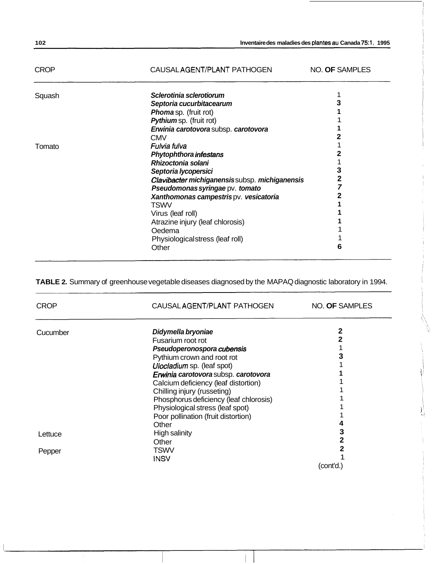| 102         |                                               | Inventaire des maladies des plantes au Canada 75:1, 1995 |
|-------------|-----------------------------------------------|----------------------------------------------------------|
| <b>CROP</b> | CAUSAL AGENT/PLANT PATHOGEN                   | NO. OF SAMPLES                                           |
| Squash      | Sclerotinia sclerotiorum                      |                                                          |
|             | Septoria cucurbitacearum                      |                                                          |
|             | <b>Phoma</b> sp. (fruit rot)                  |                                                          |
|             | Pythium sp. (fruit rot)                       |                                                          |
|             | Erwinia carotovora subsp. carotovora          |                                                          |
|             | <b>CMV</b>                                    |                                                          |
| Tomato      | Fulvia fulva                                  |                                                          |
|             | <b>Phytophthora infestans</b>                 |                                                          |
|             | Rhizoctonia solani                            |                                                          |
|             | Septoria lycopersici                          |                                                          |
|             | Clavibacter michiganensissubsp. michiganensis |                                                          |
|             | Pseudomonas syringae pv. tomato               |                                                          |
|             | Xanthomonas campestris pv. vesicatoria        |                                                          |
|             | <b>TSWV</b>                                   |                                                          |
|             | Virus (leaf roll)                             |                                                          |
|             | Atrazine injury (leaf chlorosis)              |                                                          |
|             | Oedema                                        |                                                          |
|             | Physiologicalstress (leaf roll)               |                                                          |
|             | Other                                         | 6                                                        |

**TABLE 2.** Summary of greenhouse vegetable diseases diagnosed by the MAPAQ diagnostic laboratory in 1994.

| <b>CROP</b> | CAUSALAGENT/PLANT PATHOGEN             | NO. OF SAMPLES |
|-------------|----------------------------------------|----------------|
| Cucumber    | Didymella bryoniae                     | 2              |
|             | Fusarium root rot                      |                |
|             | Pseudoperonospora cubensis             |                |
|             | Pythium crown and root rot             |                |
|             | Ulocladium sp. (leaf spot)             |                |
|             | Erwinia carotovora subsp. carotovora   |                |
|             | Calcium deficiency (leaf distortion)   |                |
|             | Chilling injury (russeting)            |                |
|             | Phosphorus deficiency (leaf chlorosis) |                |
|             | Physiological stress (leaf spot)       |                |
|             | Poor pollination (fruit distortion)    |                |
|             | Other                                  |                |
| Lettuce     | High salinity                          |                |
|             | Other                                  |                |
| Pepper      | <b>TSWV</b>                            |                |
|             | INSV                                   |                |
|             |                                        | (cont'd.)      |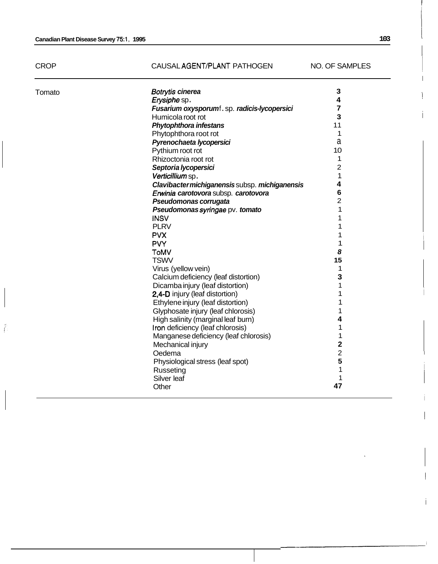$\hat{E}$ 

# CAUSAL AGENT/PLANT PATHOGEN NO. OF SAMPLES

| 4<br>High salinity (marginal leaf burn)<br>1<br>Iron deficiency (leaf chlorosis)<br>1<br>Manganese deficiency (leaf chlorosis)<br>$\overline{\mathbf{2}}$<br>Mechanical injury<br>$\overline{c}$<br>Oedema<br>5<br>Physiological stress (leaf spot)<br>1<br>Russeting<br>Silver leaf<br>1<br>47 | Tomato | Botrytis cinerea<br>Erysiphe sp.<br>Fusarium oxysporumf.sp. radicis-lycopersici<br>Humicola root rot<br><b>Phytophthora infestans</b><br>Phytophthora root rot<br>Pyrenochaeta lycopersici<br>Pythium root rot<br>Rhizoctonia root rot<br>Septoria lycopersici<br>Verticillium sp.<br>Clavibacter michiganensis subsp. michiganensis<br>Erwinia carotovora subsp. carotovora<br>Pseudomonas corrugata<br>Pseudomonas syringae pv. tomato<br><b>INSV</b><br><b>PLRV</b><br><b>PVX</b><br><b>PVY</b><br><b>ToMV</b><br><b>TSWV</b><br>Virus (yellow vein)<br>Calcium deficiency (leaf distortion)<br>Dicamba injury (leaf distortion)<br>2,4-D injury (leaf distortion)<br>Ethylene injury (leaf distortion) | 3<br>4<br>7<br>3<br>11<br>1<br>a<br>10<br>1<br>$\overline{2}$<br>1<br>4<br>$6\phantom{1}6$<br>$\overline{2}$<br>1<br>1<br>1<br>1<br>1<br>8<br>15<br>1<br>3<br>1<br>1<br>1 |
|-------------------------------------------------------------------------------------------------------------------------------------------------------------------------------------------------------------------------------------------------------------------------------------------------|--------|------------------------------------------------------------------------------------------------------------------------------------------------------------------------------------------------------------------------------------------------------------------------------------------------------------------------------------------------------------------------------------------------------------------------------------------------------------------------------------------------------------------------------------------------------------------------------------------------------------------------------------------------------------------------------------------------------------|---------------------------------------------------------------------------------------------------------------------------------------------------------------------------|
| $\mathbf 1$<br>Glyphosate injury (leaf chlorosis)                                                                                                                                                                                                                                               |        |                                                                                                                                                                                                                                                                                                                                                                                                                                                                                                                                                                                                                                                                                                            |                                                                                                                                                                           |
|                                                                                                                                                                                                                                                                                                 |        |                                                                                                                                                                                                                                                                                                                                                                                                                                                                                                                                                                                                                                                                                                            |                                                                                                                                                                           |
|                                                                                                                                                                                                                                                                                                 |        |                                                                                                                                                                                                                                                                                                                                                                                                                                                                                                                                                                                                                                                                                                            |                                                                                                                                                                           |
|                                                                                                                                                                                                                                                                                                 |        |                                                                                                                                                                                                                                                                                                                                                                                                                                                                                                                                                                                                                                                                                                            |                                                                                                                                                                           |
|                                                                                                                                                                                                                                                                                                 |        |                                                                                                                                                                                                                                                                                                                                                                                                                                                                                                                                                                                                                                                                                                            |                                                                                                                                                                           |
|                                                                                                                                                                                                                                                                                                 |        |                                                                                                                                                                                                                                                                                                                                                                                                                                                                                                                                                                                                                                                                                                            |                                                                                                                                                                           |
|                                                                                                                                                                                                                                                                                                 |        |                                                                                                                                                                                                                                                                                                                                                                                                                                                                                                                                                                                                                                                                                                            |                                                                                                                                                                           |
|                                                                                                                                                                                                                                                                                                 |        |                                                                                                                                                                                                                                                                                                                                                                                                                                                                                                                                                                                                                                                                                                            |                                                                                                                                                                           |
|                                                                                                                                                                                                                                                                                                 |        |                                                                                                                                                                                                                                                                                                                                                                                                                                                                                                                                                                                                                                                                                                            |                                                                                                                                                                           |
|                                                                                                                                                                                                                                                                                                 |        |                                                                                                                                                                                                                                                                                                                                                                                                                                                                                                                                                                                                                                                                                                            |                                                                                                                                                                           |
|                                                                                                                                                                                                                                                                                                 |        |                                                                                                                                                                                                                                                                                                                                                                                                                                                                                                                                                                                                                                                                                                            |                                                                                                                                                                           |
|                                                                                                                                                                                                                                                                                                 |        |                                                                                                                                                                                                                                                                                                                                                                                                                                                                                                                                                                                                                                                                                                            |                                                                                                                                                                           |
|                                                                                                                                                                                                                                                                                                 |        |                                                                                                                                                                                                                                                                                                                                                                                                                                                                                                                                                                                                                                                                                                            |                                                                                                                                                                           |
|                                                                                                                                                                                                                                                                                                 |        |                                                                                                                                                                                                                                                                                                                                                                                                                                                                                                                                                                                                                                                                                                            |                                                                                                                                                                           |
|                                                                                                                                                                                                                                                                                                 |        |                                                                                                                                                                                                                                                                                                                                                                                                                                                                                                                                                                                                                                                                                                            |                                                                                                                                                                           |
|                                                                                                                                                                                                                                                                                                 |        |                                                                                                                                                                                                                                                                                                                                                                                                                                                                                                                                                                                                                                                                                                            |                                                                                                                                                                           |
|                                                                                                                                                                                                                                                                                                 |        |                                                                                                                                                                                                                                                                                                                                                                                                                                                                                                                                                                                                                                                                                                            |                                                                                                                                                                           |
|                                                                                                                                                                                                                                                                                                 |        |                                                                                                                                                                                                                                                                                                                                                                                                                                                                                                                                                                                                                                                                                                            |                                                                                                                                                                           |
|                                                                                                                                                                                                                                                                                                 |        |                                                                                                                                                                                                                                                                                                                                                                                                                                                                                                                                                                                                                                                                                                            |                                                                                                                                                                           |
|                                                                                                                                                                                                                                                                                                 |        |                                                                                                                                                                                                                                                                                                                                                                                                                                                                                                                                                                                                                                                                                                            |                                                                                                                                                                           |
|                                                                                                                                                                                                                                                                                                 |        |                                                                                                                                                                                                                                                                                                                                                                                                                                                                                                                                                                                                                                                                                                            |                                                                                                                                                                           |
|                                                                                                                                                                                                                                                                                                 |        |                                                                                                                                                                                                                                                                                                                                                                                                                                                                                                                                                                                                                                                                                                            |                                                                                                                                                                           |
|                                                                                                                                                                                                                                                                                                 |        |                                                                                                                                                                                                                                                                                                                                                                                                                                                                                                                                                                                                                                                                                                            |                                                                                                                                                                           |
|                                                                                                                                                                                                                                                                                                 |        | Other                                                                                                                                                                                                                                                                                                                                                                                                                                                                                                                                                                                                                                                                                                      |                                                                                                                                                                           |

I i

I I

I

i

I

I

i

i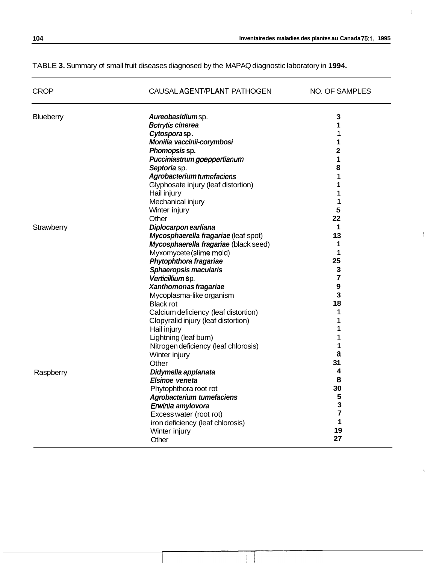**I** 

 $\mathcal{L}$ 

 $\tilde{h}$ 

# TABLE **3.** Summary of small fruit diseases diagnosed by the MAPAQ diagnostic laboratory in **1994.**

| <b>CROP</b> | CAUSAL AGENT/PLANT PATHOGEN           | NO. OF SAMPLES          |
|-------------|---------------------------------------|-------------------------|
| Blueberry   | Aureobasidiumsp.                      | 3                       |
|             | Botrytis cinerea                      | 1                       |
|             | Cytosporasp.                          | 1                       |
|             | Monilia vaccinii-corymbosi            | 1                       |
|             | Phomopsis sp.                         | $\overline{\mathbf{2}}$ |
|             | Pucciniastrum goeppertianum           | 1                       |
|             | Septoria sp.                          | 8                       |
|             | Agrobacteriumtumefaciens              | 1                       |
|             | Glyphosate injury (leaf distortion)   | 1                       |
|             | Hail injury                           | 1                       |
|             | Mechanical injury                     | 1                       |
|             | Winter injury                         | 5                       |
|             | Other                                 | 22                      |
| Strawberry  | Diplocarpon earliana                  | 1                       |
|             | Mycosphaerella fragariae (leaf spot)  | 13                      |
|             | Mycosphaerella fragariae (black seed) | 1                       |
|             | Myxomycete (slime mold)               | 1                       |
|             | Phytophthora fragariae                | 25                      |
|             | Sphaeropsis macularis                 | 3                       |
|             | Verticillium sp.                      | $\overline{7}$<br>9     |
|             | Xanthomonas fragariae                 | $\overline{\mathbf{3}}$ |
|             | Mycoplasma-like organism              | 18                      |
|             | <b>Black rot</b>                      |                         |
|             | Calcium deficiency (leaf distortion)  | 1<br>1                  |
|             | Clopyralid injury (leaf distortion)   | 1                       |
|             | Hail injury                           | 1                       |
|             | Lightning (leaf burn)                 | 1                       |
|             | Nitrogen deficiency (leaf chlorosis)  | a                       |
|             | Winter injury                         | 31                      |
|             | Other                                 | 4                       |
| Raspberry   | Didymella applanata                   | 8                       |
|             | Elsinoe veneta                        | 30                      |
|             | Phytophthora root rot                 | 5                       |
|             | Agrobacterium tumefaciens             | 3                       |
|             | Erwinia amylovora                     | $\overline{7}$          |
|             | Excess water (root rot)               | 1                       |
|             | iron deficiency (leaf chlorosis)      | 19                      |
|             | Winter injury                         | 27                      |
|             | Other                                 |                         |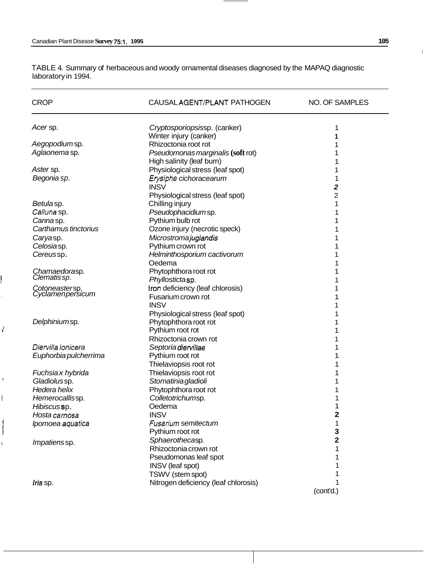I

**k** 

E

TABLE 4. Summary of herbaceous and woody ornamental diseases diagnosed by the MAPAQ diagnostic laboratory in 1994.

| <b>CROP</b>                        | CAUSAL AGENT/PLANT PATHOGEN          | NO. OF SAMPLES |
|------------------------------------|--------------------------------------|----------------|
| Acer sp.                           | Cryptosporiopsissp. (canker)         | 1              |
|                                    | Winter injury (canker)               |                |
| Aegopodiumsp.                      | Rhizoctonia root rot                 |                |
| Aglaonema sp.                      | Pseudomonas marginalis (soft rot)    |                |
|                                    | High salinity (leaf burn)            |                |
| Aster sp.                          | Physiological stress (leaf spot)     |                |
| Begonia sp.                        | Erysiphe cichoracearum               |                |
|                                    | <b>INSV</b>                          | 2              |
|                                    | Physiological stress (leaf spot)     | $\overline{2}$ |
| Betulasp.                          | Chilling injury                      | 1              |
| Calluna sp.                        | Pseudophacidiumsp.                   |                |
| Cannasp.                           | Pythium bulb rot                     |                |
| Carthamus tinctorius               | Ozone injury (necrotic speck)        |                |
|                                    |                                      |                |
| Caryasp.                           | Microstromajuglandis                 |                |
| Celosiasp.                         | Pythium crown rot                    |                |
| Cereussp.                          | Helminthosporium cactivorum          |                |
|                                    | Oedema                               |                |
| Chamaedorasp.<br>Clematis sp.      | Phytophthora root rot                |                |
|                                    | Phyllostictasp.                      |                |
| Cotoneastersp.<br>Cyclamenpersicum | Iron deficiency (leaf chlorosis)     |                |
|                                    | Fusarium crown rot                   |                |
|                                    | <b>INSV</b>                          |                |
|                                    | Physiological stress (leaf spot)     |                |
| Delphiniumsp.                      | Phytophthora root rot                |                |
|                                    | Pythium root rot                     |                |
|                                    | Rhizoctonia crown rot                |                |
| Diervilla lonicera                 | Septoria diervillae                  |                |
| Euphorbia pulcherrima              | Pythium root rot                     |                |
|                                    | Thielaviopsis root rot               |                |
| Fuchsia x hybrida                  | Thielaviopsis root rot               |                |
| Gladiolussp.                       | Stomatinia gladioli                  |                |
| Hedera helix                       | Phytophthora root rot                |                |
| Hemerocallissp.                    | Colletotrichumsp.                    |                |
| Hibiscussp.                        | Oedema                               |                |
| Hosta carnosa                      | <b>INSV</b>                          | 2              |
|                                    |                                      |                |
| Ipomoea aquatica                   | Fusarium semitectum                  |                |
|                                    | Pythium root rot                     | 3              |
| Impatienssp.                       | Sphaerothecasp.                      | 2              |
|                                    | Rhizoctonia crown rot                |                |
|                                    | Pseudomonas leaf spot                |                |
|                                    | <b>INSV</b> (leaf spot)              |                |
|                                    | TSWV (stem spot)                     |                |
| Iris sp.                           | Nitrogen deficiency (leaf chlorosis) |                |
|                                    |                                      | (cont'd.)      |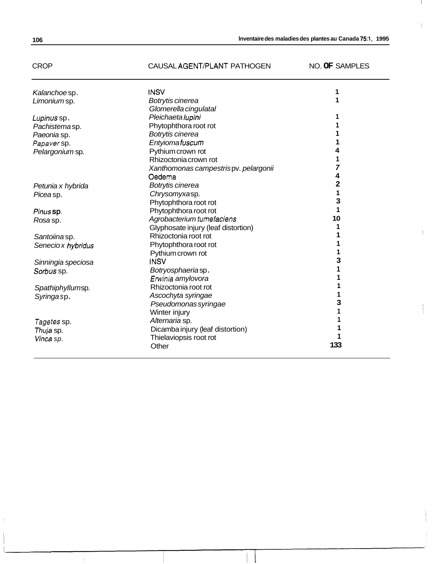# CROP CAUSAL AGENT/PLANT PATHOGEN NO. **OF** SAMPLES

ł

 $\frac{1}{2}$ 

| Kalanchoesp.       | <b>INSV</b>                          |     |
|--------------------|--------------------------------------|-----|
| Limonium sp.       | Botrytis cinerea                     |     |
|                    | Glomerella cingulatal                |     |
| Lupinus sp.        | Pleichaeta lupini                    |     |
| Pachistema sp.     | Phytophthora root rot                |     |
| Paeonia sp.        | Botrytis cinerea                     |     |
| Papaver sp.        | Entyiomafuscum                       |     |
| Pelargonium sp.    | Pythium crown rot                    | 4   |
|                    | Rhizoctonia crown rot                |     |
|                    | Xanthomonas campestrispv. pelargonii | 7   |
|                    | Oedema                               | 4   |
| Petunia x hybrida  | Botrytis cinerea                     | 2   |
| Picea sp.          | Chrysomyxasp.                        | 1   |
|                    | Phytophthora root rot                | 3   |
| Pinus sp.          | Phytophthora root rot                | 1   |
| Rosa sp.           | Agrobacterium tumefaciens            | 10  |
|                    | Glyphosate injury (leaf distortion)  | 1   |
| Santoiina sp.      | Rhizoctonia root rot                 |     |
| Senecio x hybridus | Phytophthora root rot                |     |
|                    | Pythium crown rot                    | 1   |
| Sinningia speciosa | <b>INSV</b>                          | з   |
| Sorbus sp.         | Botryosphaeriasp.                    | 1   |
|                    | Erwinia amylovora                    |     |
| Spathiphyllumsp.   | Rhizoctonia root rot                 |     |
| Syringa sp.        | Ascochyta syringae                   | 1   |
|                    | Pseudomonas syringae                 | 3   |
|                    | Winter injury                        |     |
| Tagetes sp.        | Alternaria sp.                       |     |
|                    | Dicamba injury (leaf distortion)     |     |
| Thuja sp.          | Thielaviopsis root rot               |     |
| Vinca sp.          |                                      | 133 |
|                    | Other                                |     |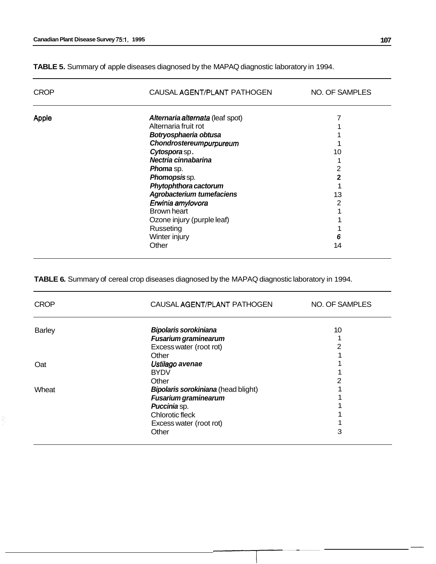ţ

CROP CAUSAL AGENT/PLANT PATHOGEN NO. OF SAMPLES Apple *Alternaria alternata* (leaf spot) 7 Alternaria fruit rot 1 *Botryosphaeria obtusa*  1 *Chondrostereum purpureum*  1 *Cytospora* sp . 10 *Nectria cinnabarina*  1 *Phoma* sp. 2 *Phomopsis* sp. **2**  *Phytophthora cactorum*  1 *Agrobacterium tumefaciens*  13 *Erwinia amy/ovora*  2 Brown heart 1 Ozone injury (purple leaf) 1 Russeting 1 Winter injury *6*  **Other** 14

**TABLE 5.** Summary of apple diseases diagnosed by the MAPAQ diagnostic laboratory in 1994.

**TABLE 6.** Summary of cereal crop diseases diagnosed by the MAPAQ diagnostic laboratory in 1994.

| <b>CROP</b>   | CAUSAL AGENT/PLANT PATHOGEN         | NO. OF SAMPLES |
|---------------|-------------------------------------|----------------|
| <b>Barley</b> | Bipolaris sorokiniana               | 10             |
|               | Fusarium graminearum                | $\mathbf{1}$   |
|               | Excess water (root rot)             | $\overline{2}$ |
|               | Other                               | 1              |
| Oat           | Ustilago avenae                     | 1              |
|               | <b>BYDV</b>                         | 1              |
|               | Other                               | 2              |
| Wheat         | Bipolaris sorokiniana (head blight) | 1              |
|               | Fusarium graminearum                | 1              |
|               | Puccinia sp.                        | 1              |
|               | Chlorotic fleck                     | 1              |
|               | Excess water (root rot)             | 1              |
|               | Other                               | 3              |
|               |                                     |                |
|               |                                     |                |

--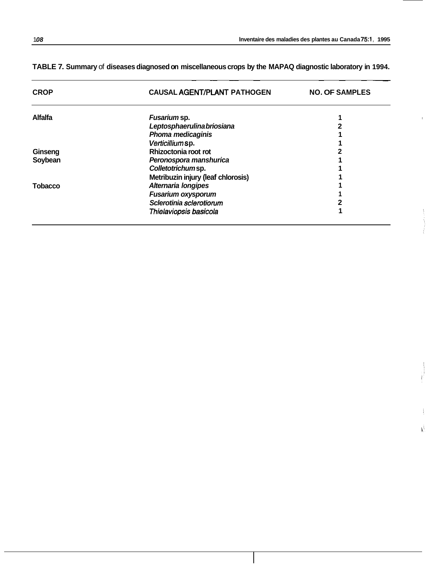~ ~ ~~

Ń.

# **TABLE 7. Summary** of **diseases diagnosed on miscellaneous crops by the MAPAQ diagnostic laboratory in 1994.**

~~ ~~ ~~ ~

| <b>CROP</b>    | <b>CAUSAL AGENT/PLANT PATHOGEN</b> | <b>NO. OF SAMPLES</b> |
|----------------|------------------------------------|-----------------------|
| <b>Alfalfa</b> | Fusarium sp.                       |                       |
|                | Leptosphaerulina briosiana         |                       |
|                | <b>Phoma medicaginis</b>           |                       |
|                | Verticillium sp.                   |                       |
| Ginseng        | Rhizoctonia root rot               |                       |
| Soybean        | Peronospora manshurica             |                       |
|                | Colletotrichumsp.                  |                       |
|                | Metribuzin injury (leaf chlorosis) |                       |
| <b>Tobacco</b> | Alternaria longipes                |                       |
|                | <b>Fusarium oxysporum</b>          |                       |
|                | Sclerotinia sclerotiorum           |                       |
|                | Thielaviopsis basicola             |                       |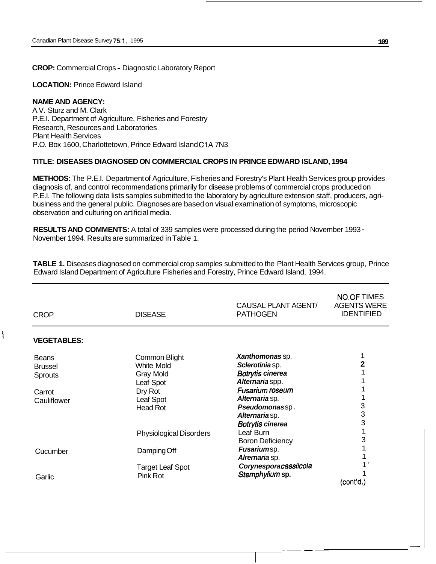#### **CROP:** Commercial Crops - Diagnostic Laboratory Report

**LOCATION:** Prince Edward Island

#### **NAME AND AGENCY:**

A.V. Sturz and M. Clark P.E.I. Department of Agriculture, Fisheries and Forestry Research, Resources and Laboratories Plant Health Services P.O. Box 1600, Charlottetown, Prince Edward Island C1A 7N3

#### **TITLE: DISEASES DIAGNOSED ON COMMERCIAL CROPS IN PRINCE EDWARD ISLAND, 1994**

**METHODS:** The P.E.I. Department of Agriculture, Fisheries and Forestry's Plant Health Services group provides diagnosis of, and control recommendations primarily for disease problems of commercial crops produced on P.E.I. The following data lists samples submitted to the laboratory by agriculture extension staff, producers, agribusiness and the general public. Diagnoses are based on visual examination of symptoms, microscopic observation and culturing on artificial media.

**RESULTS AND COMMENTS:** A total of 339 samples were processed during the period November 1993 - November 1994. Results are summarized in Table 1.

**TABLE 1.** Diseases diagnosed on commercial crop samples submitted to the Plant Health Services group, Prince Edward Island Department of Agriculture Fisheries and Forestry, Prince Edward Island, 1994.

| <b>CROP</b>        | <b>DISEASE</b>                 | CAUSAL PLANT AGENT/<br><b>PATHOGEN</b> | <b>NO.OF TIMES</b><br><b>AGENTS WERE</b><br><b>IDENTIFIED</b> |
|--------------------|--------------------------------|----------------------------------------|---------------------------------------------------------------|
| <b>VEGETABLES:</b> |                                |                                        |                                                               |
| <b>Beans</b>       | Common Blight                  | Xanthomonas sp.                        |                                                               |
| <b>Brussel</b>     | White Mold                     | Sclerotinia sp.                        |                                                               |
| <b>Sprouts</b>     | Gray Mold                      | Botrytis cinerea                       |                                                               |
|                    | Leaf Spot                      | Alternariaspp.                         |                                                               |
| Carrot             | Dry Rot                        | <b>Fusarium roseum</b>                 |                                                               |
| Cauliflower        | Leaf Spot                      | Alternaria sp.                         |                                                               |
|                    | <b>Head Rot</b>                | Pseudomonassp.                         | 3                                                             |
|                    |                                | Alternaria sp.                         | 3                                                             |
|                    |                                | <b>Botrytis cinerea</b>                | 3                                                             |
|                    | <b>Physiological Disorders</b> | Leaf Burn                              |                                                               |
|                    |                                | <b>Boron Deficiency</b>                | 3                                                             |
| Cucumber           | Damping Off                    | Fusariumsp.                            |                                                               |
|                    |                                | Alrernaria sp.                         |                                                               |
|                    | <b>Target Leaf Spot</b>        | Corynesporacassiicola                  |                                                               |
| Garlic             | Pink Rot                       | Stemphylium sp.                        |                                                               |
|                    |                                |                                        | (cont'd.)                                                     |

-- **---I-**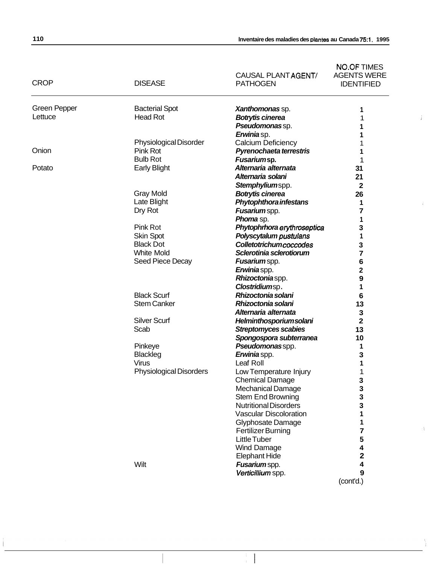| Inventaire des maladies des plantes au Canada 75:1, 1995 |
|----------------------------------------------------------|
|                                                          |

A.

|                     |                                | CAUSAL PLANT AGENT/                                     | <b>NO.OF TIMES</b><br><b>AGENTS WERE</b> |
|---------------------|--------------------------------|---------------------------------------------------------|------------------------------------------|
| <b>CROP</b>         | <b>DISEASE</b>                 | <b>PATHOGEN</b>                                         | <b>IDENTIFIED</b>                        |
| <b>Green Pepper</b> | <b>Bacterial Spot</b>          | Xanthomonas sp.                                         | 1                                        |
| Lettuce             | <b>Head Rot</b>                | Botrytis cinerea                                        | 1                                        |
|                     |                                | Pseudomonassp.                                          | 1                                        |
|                     |                                | Erwiniasp.                                              |                                          |
|                     | <b>Physiological Disorder</b>  | Calcium Deficiency                                      |                                          |
| Onion               | Pink Rot                       | Pyrenochaeta terrestris                                 | 1                                        |
|                     | <b>Bulb Rot</b>                | Fusariumsp.                                             | 1                                        |
| Potato              | <b>Early Blight</b>            | Alternaria alternata                                    | 31                                       |
|                     |                                | Alternaria solani                                       | 21                                       |
|                     |                                | Stemphyliumspp.                                         | $\mathbf{2}$                             |
|                     | <b>Gray Mold</b>               | <b>Botrytis cinerea</b>                                 | 26                                       |
|                     | Late Blight                    | Phytophthora infestans                                  | 1                                        |
|                     | Dry Rot                        | Fusariumspp.                                            | 7                                        |
|                     | Pink Rot                       | Phoma sp.                                               | 1                                        |
|                     | <b>Skin Spot</b>               | Phytophrhoraerythroseptica                              | 3<br>1                                   |
|                     | <b>Black Dot</b>               | Polyscytalum pustulans<br><b>Colletotrichumcoccodes</b> |                                          |
|                     | <b>White Mold</b>              | Sclerotinia sclerotiorum                                | 3<br>7                                   |
|                     | Seed Piece Decay               | Fusariumspp.                                            | 6                                        |
|                     |                                | Erwiniaspp.                                             | $\overline{\mathbf{c}}$                  |
|                     |                                | Rhizoctoniaspp.                                         | 9                                        |
|                     |                                | Clostridiumsp.                                          | 1                                        |
|                     | <b>Black Scurf</b>             | Rhizoctonia solani                                      | 6                                        |
|                     | <b>Stem Canker</b>             | Rhizoctonia solani                                      | 13                                       |
|                     |                                | Alternaria alternata                                    | 3                                        |
|                     | <b>Silver Scurf</b>            | Helminthosporiumsolani                                  | $\overline{\mathbf{2}}$                  |
|                     | Scab                           | <b>Streptomyces scabies</b>                             | 13                                       |
|                     |                                | Spongospora subterranea                                 | 10                                       |
|                     | Pinkeye                        | Pseudomonasspp.                                         | 1                                        |
|                     | <b>Blackleg</b>                | Erwinia spp.                                            | 3                                        |
|                     | Virus                          | Leaf Roll                                               | 1                                        |
|                     | <b>Physiological Disorders</b> | Low Temperature Injury                                  | 1                                        |
|                     |                                | <b>Chemical Damage</b>                                  | 3                                        |
|                     |                                | <b>Mechanical Damage</b>                                | 3                                        |
|                     |                                | <b>Stem End Browning</b>                                | 3                                        |
|                     |                                | <b>Nutritional Disorders</b>                            | 3                                        |
|                     |                                | <b>Vascular Discoloration</b>                           | 1                                        |
|                     |                                | Glyphosate Damage                                       | 1                                        |
|                     |                                | <b>Fertilizer Burning</b>                               | 7                                        |
|                     |                                | Little Tuber                                            | 5                                        |
|                     |                                | Wind Damage                                             | 4                                        |
|                     |                                | <b>Elephant Hide</b>                                    | 2                                        |
|                     | Wilt                           | Fusarium spp.                                           | 4                                        |
|                     |                                | Verticillium spp.                                       | 9                                        |
|                     |                                |                                                         | (cont'd.)                                |